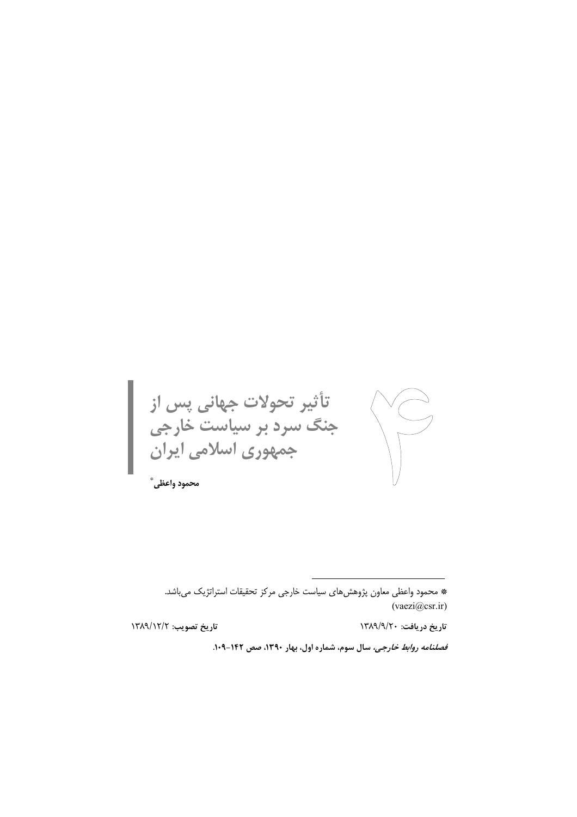تأثیر تحولات جهانی پس از<br>جنگ سرد بر سیاست خارجی<br>جمهوری اسلامی ایران  $\begin{picture}(120,15) \put(0,0){\line(1,0){155}} \put(15,0){\line(1,0){155}} \put(15,0){\line(1,0){155}} \put(15,0){\line(1,0){155}} \put(15,0){\line(1,0){155}} \put(15,0){\line(1,0){155}} \put(15,0){\line(1,0){155}} \put(15,0){\line(1,0){155}} \put(15,0){\line(1,0){155}} \put(15,0){\line(1,0){155}} \put(15,0){\line(1,0){155}}$ محمود واعظى ٌ

تاريخ دريافت: ١٣٨٩/٩/٢٠

تاريخ تصويب: ١٣٨٩/١٢/٢

قصلنامه روابط خارجی، سال سوم، شماره اول، بهار ۱۳۹۰، صص ۱۴۲-۱۰۹.

<sup>\*</sup> محمود واعظی معاون پژوهشهای سیاست خارجی مرکز تحقیقات استراتژیک می باشد.  $(vaezi@csr.ir)$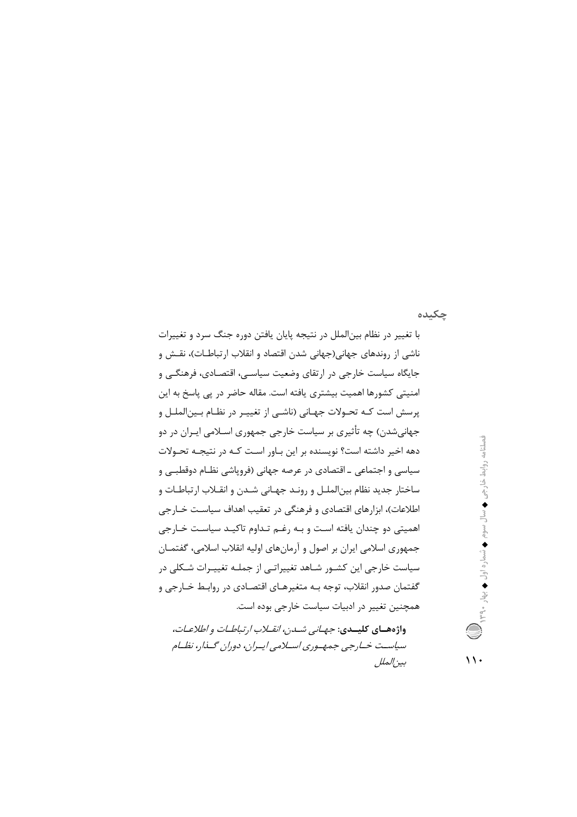## چکىدە

با تغییر در نظام بین|لملل در نتیجه پایان یافتن دوره جنگ سرد و تغییرات ناشی از روندهای جهانی(جهانی شدن اقتصاد و انقلاب ارتباطـات)، نقـش و جایگاه سیاست خارجی در ارتقای وضعیت سیاســی، اقتصـادی، فرهنگــی و امنیتی کشورها اهمیت بیشتری یافته است. مقاله حاضر در پی پاسخ به این پرسش است کـه تحـولات جهـاني (ناشـي از تغييـر در نظـام بـينالملـل و جهانی شدن) چه تأثیری بر سیاست خارجی جمهوری اسـلامی ایـران در دو دهه اخیر داشته است؟ نویسنده بر این بـاور اسـت کـه در نتیجـه تحـولات سیاسی و اجتماعی ــ اقتصادی در عرصه جهانی (فرویاشی نظـام دوقطبــی و ساختار جديد نظام بينالملـل و رونـد جهـاني شـدن و انقـلاب ارتباطـات و اطلاعات)، ابزارهای اقتصادی و فرهنگی در تعقیب اهداف سیاست خـارجی اهمیتی دو چندان یافته است و بـه رغـم تـداوم تاکیـد سیاسـت خـارجی جمهوري اسلامي ايران بر اصول و آرمانهاي اوليه انقلاب اسلامي، گفتمـان سیاست خارجی این کشـور شـاهد تغییراتـی از جملـه تغییـرات شـکلی در گفتمان صدور انقلاب، توجه بــه متغیرهــای اقتصــادی در روابـط خــارجی و همچنین تغییر در ادبیات سیاست خارجی بوده است.

نصلنامه روابط خارجي ♦ سال سوم ♦ شماره اول ♦ بهار ٣٩٠

واژه های کلیسدی: *جهانی شدن، انقلاب ارتباطات و اطلاعات*، سپاست خسارجي جمهسوري اسپلامي ايسران، دوران گسذار، نظسام بين الملل

 $\backslash \backslash$ .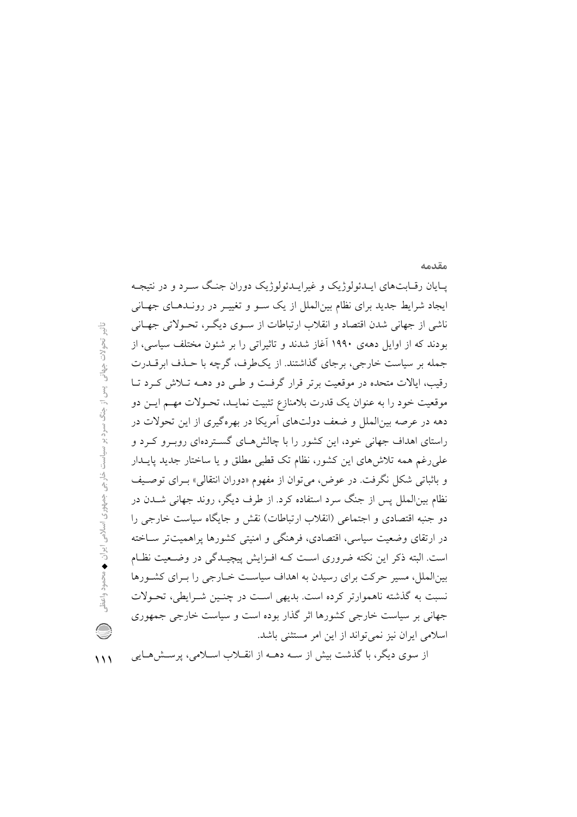پـایان رقـابتهای ایـدئولوژیک و غیرایـدئولوژیک دوران جنـگ سـرد و در نتیجـه ایجاد شرایط جدید برای نظام بینالملل از یک سـو و تغییـر در رونـدهـای جهـانی ناشی از جهانی شدن اقتصاد و انقلاب ارتباطات از سـوی دیگـر، تحـولاتی جهـانی بودند که از اوایل دههی ۱۹۹۰ آغاز شدند و تاثیراتی را بر شئون مختلف سیاسی، از جمله بر سیاست خارجی، برجای گذاشتند. از یکطرف، گرچه با حـذف ابرقــدرت رقیب، ایالات متحده در موقعیت برتر قرار گرفت و طبی دو دهــه تـلاش کـرد تـا موقعیت خود را به عنوان یک قدرت بلامنازع تثبیت نمایـد، تحـولات مهـم ایــن دو دهه در عرصه بین|لملل و ضعف دولتهای آمریکا در بهرهگیری از این تحولات در راستای اهداف جهانی خود، این کشور را با چالش هـای گسـتردهای روبـرو کـرد و علی رغم همه تلاش های این کشور، نظام تک قطبی مطلق و یا ساختار جدید پایــدار و باثباتی شکل نگرفت. در عوض، می توان از مفهوم «دوران انتقالی» بـرای توصـیف نظام بین|لملل پس از جنگ سرد استفاده کرد. از طرف دیگر، روند جهانی شــدن در دو جنبه اقتصادی و اجتماعی (انقلاب ارتباطات) نقش و جایگاه سیاست خارجی را در ارتقای وضعیت سیاسی، اقتصادی، فرهنگی و امنیتی کشورها پراهمیتتر سـاخته است. البته ذکر این نکته ضروری است کـه افـزایش پیچیـدگی در وضـعیت نظـام بین الملل، مسیر حرکت برای رسیدن به اهداف سیاست خـارجی را بـرای کشـورها نسبت به گذشته ناهموارتر کرده است. بدیهی است در چنـین شـرایطی، تحـولات جهانی بر سیاست خارجی کشورها اثر گذار بوده است و سیاست خارجی جمهوری اسلامی ایران نیز نمی تواند از این امر مستثنی باشد.

مقدمه

 $\vee$ 

از سوی دیگر، با گذشت بیش از سـه دهــه از انقــلاب اســلامی، پرســش۵هــایی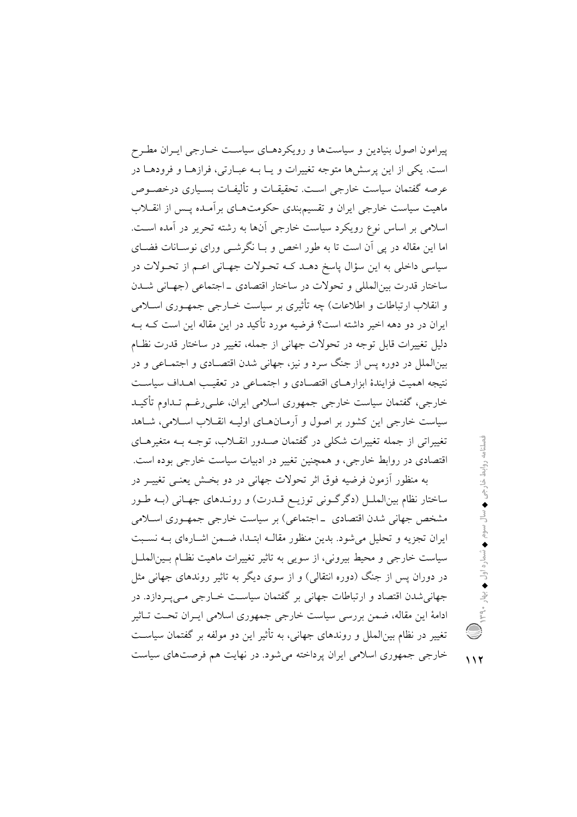پیرامون اصول بنیادین و سیاستها و رویکردهـای سیاسـت خـارجی ایـران مطـرح است. یکی از این پرسشها متوجه تغییرات و یـا بـه عبـارتی، فرازهـا و فرودهـا در عرصه گفتمان سیاست خارجی اسـت. تحقیقــات و تألیفــات بســیاری درخصــوص ماهیت سیاست خارجی ایران و تقسیم بندی حکومتهای بر آمـده پـس از انقــلاب اسلامی بر اساس نوع رویکرد سیاست خارجی آنها به رشته تحریر در آمده است. اما این مقاله در پی آن است تا به طور اخص و بـا نگرشــی ورای نوسـانات فضــای سیاسی داخلی به این سؤال پاسخ دهـد کـه تحـولات جهـانی اعـم از تحـولات در ساختار قدرت بين|لمللي و تحولات در ساختار اقتصادي \_اجتماعي (جهـاني شــدن و انقلاب ارتباطات و اطلاعات) چه تأثیری بر سیاست خــارجی جمهــوری اســلامی ابران در دو دهه اخیر داشته است؟ فرضیه مورد تأکید در این مقاله این است کـه بـه دلیل تغییرات قابل توجه در تحولات جهانی از جمله، تغییر در ساختار قدرت نظـام بینالملل در دوره پس از جنگ سرد و نیز، جهانی شدن اقتصـادی و اجتمـاعی و در نتبجه اهميت فزايندۀ ايزارهياي اقتصيادي و اجتمياعي در تعقيب اهيداف سياست خارجي، گفتمان سياست خارجي جمهوري اسلامي ايران، علـي(غـم تـداوم تأكيـد سیاست خارجی این کشور بر اصول و آرمـانهـای اولیـه انقــلاب اسـلامی، شــاهد تغییراتی از جمله تغییرات شکلی در گفتمان صدور انقبلاب، توجبه بیه متغیرهبای اقتصادی در روابط خارجی، و همچنین تغییر در ادبیات سیاست خارجی بوده است. به منظور آزمون فرضیه فوق اثر تحولات جهانی در دو بخـش یعنـی تغییـر در

ساختار نظام بین|لملـل (دگرگـونی توزیـع قــدرت) و رونــدهای جهـانی (بــه طـور مشخص جهانی شدن اقتصادی \_اجتماعی) بر سیاست خارجی جمهـوری اسـلامی ایران تجزیه و تحلیل می شود. بدین منظور مقالـه ابتـدا، ضـمن اشـارهای بـه نسـبت سیاست خارجی و محیط بیرونی، از سویی به تاثیر تغییرات ماهیت نظـام بـین|لملـل در دوران پس از جنگ (دوره انتقالی) و از سوی دیگر به تاثیر روندهای جهانی مثل جهاني شدن اقتصاد و ارتباطات جهاني بر گفتمان سياست خــارجي مــي\_بـردازد. در ادامهٔ این مقاله، ضمن بررسی سیاست خارجی جمهوری اسلامی ایـران تحـت تــاثیر تغییر در نظام بین|لملل و روندهای جهانی، به تأثیر این دو مولفه بر گفتمان سیاست خارجی جمهوری اسلامی ایران پرداخته می شود. در نهایت هم فرصتهای سیاست

 $117$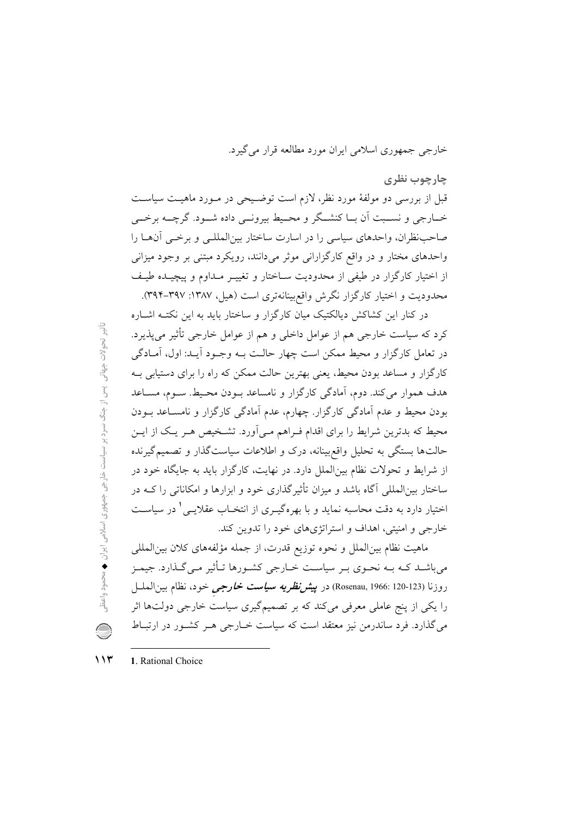خارجي جمهوري اسلامي ايران مورد مطالعه قرار مي گيرد.

چارچوب نظری

قبل از بررسی دو مولفهٔ مورد نظر، لازم است توضیحی در مـورد ماهیـت سیاسـت خــارجي و نســبت اَن بــا كنشــگر و محــيط بيرونــي داده شــود. گرچـــه برخــي صاحب نظران، واحدهای سیاسی را در اسارت ساختار بین المللـی و برخـی آنهـا را واحدهای مختار و در واقع کارگزارانی موثر میدانند، رویکرد مبتنی بر وجود میزانی از اختیار کارگزار در طیفی از محدودیت سـاختار و تغییـر مـداوم و پیچیـده طیـف محدودیت و اختیار کارگزار نگرش واقع بینانهتری است (هیل، ۱۳۸۷: ۳۹۲–۳۹۴).

در کنار این کشاکش دیالکتیک میان کارگزار و ساختار باید به این نکتــه اشــاره کرد که سیاست خارجی هم از عوامل داخلی و هم از عوامل خارجی تأثیر می پذیرد. در تعامل کارگزار و محیط ممکن است چهار حالت بـه وجـود آیـد: اول، آمـادگی کارگزار و مساعد بودن محیط، یعنی بهترین حالت ممکن که راه را برای دستیابی بـه هدف هموار مي كند. دوم، آمادگي كارگزار و نامساعد بـودن محـيط. سـوم، مسـاعد بودن محیط و عدم آمادگی کارگزار. چهارم، عدم آمادگی کارگزار و نامسـاعد بــودن محیط که بدترین شرایط را برای اقدام فـراهم مـی|ورد. تشـخیص هـر یـک از ایــن حالتها بستگی به تحلیل واقع بینانه، درک و اطلاعات سیاستگذار و تصمیم گیرنده از شرایط و تحولات نظام بین|لملل دارد. در نهایت، کارگزار باید به جایگاه خود در ساختار بین|لمللی آگاه باشد و میزان تأثیرگذاری خود و ابزارها و امکاناتی را کـه در اختیار دارد به دقت محاسبه نماید و با بهرهگیـری از انتخــاب عقلایــی ٔ در سیاســت خارجي و امنيتي، اهداف و استراتژي هاي خود را تدوين كند.

ماهيت نظام بين|لملل و نحوه توزيع قدرت، از جمله مؤلفههاي كلان بين|لمللي می باشـد کـه بـه نحـوی بـر سیاسـت خــارجی کشــورها تــأثیر مــی گـذارد. جیمـز روزنا (Rosenau, 1966: 120-123) در پ*یش نظریه سیاست خارجی* خود، نظام بین الملــل را یکی از پنج عاملی معرفی میکند که بر تصمیمگیری سیاست خارجی دولتها اثر می گذارد. فرد ساندرمن نیز معتقد است که سیاست خــارجی هــر کشــور در ارتبــاط

 $\lambda$ 1. Rational Choice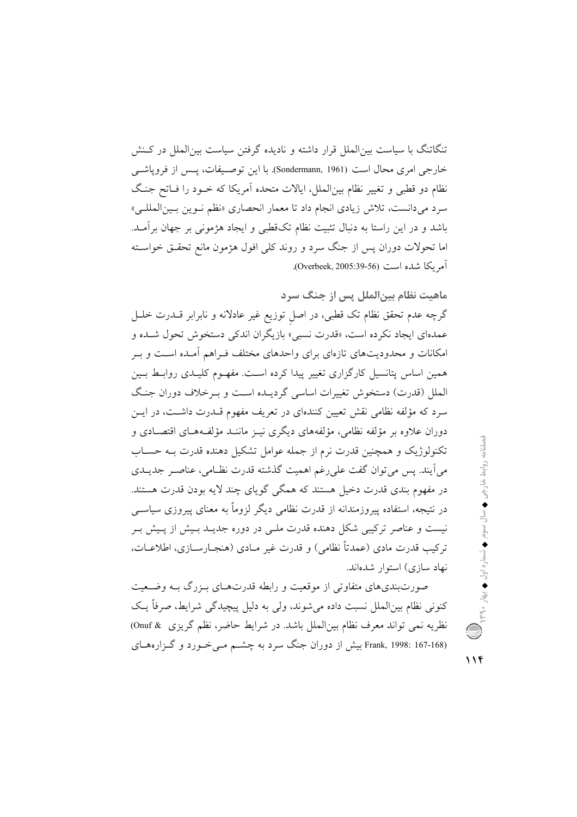تنگاتنگ با سیاست بین|لملل قرار داشته و نادیده گرفتن سیاست بین|لملل در کـنش خارجي امري محال است (Sondermann, 1961). با اين توصيفات، يــس از فروياشــي نظام دو قطبی و تغییر نظام بین|لملل، ایالات متحده اَمریکا که خـود را فـاتح جنـگ سرد می دانست، تلاش زیادی انجام داد تا معمار انحصاری «نظم نـوین بـین|لمللـی» باشد و در این راستا به دنبال تثبیت نظام تکقطبی و ایجاد هژمونی بر جهان برآمـد. اما تحولات دوران پس از جنگ سرد و روند کلی افول هژمون مانع تحقـق خواســته آمر بكا شده است (Overbeek, 2005:39-56).

ماهيت نظام بين|لملل پس از جنگ سرد

گرچه عدم تحقق نظام تک قطبی، در اصل توزیع غیر عادلانه و نابرابر قــدرت خلــل عمدهای ایجاد نکرده است، «قدرت نسبی» بازیگران اندکی دستخوش تحول شـده و امکانات و محدودیتهای تازهای برای واحدهای مختلف فـراهم آمـده اسـت و بـر همین اساس پتانسیل کارگزاری تغییر پیدا کرده است. مفهـوم کلیـدی روابـط بـین الملل (قدرت) دستخوش تغییرات اساسی گردیـده اسـت و بـرخلاف دوران جنـگ سرد که مؤلفه نظامی نقش تعیین کنندهای در تعریف مفهوم قــدرت داشــت، در ایــن دوران علاوه بر مؤلفه نظامی، مؤلفههای دیگری نیـز ماننـد مؤلفـههـای اقتصـادی و تکنولوژیک و همچنین قدرت نرم از جمله عوامل تشکیل دهنده قدرت بـه حسـاب مي آيند. پس مي توان گفت علي رغم اهميت گذشته قدرت نظـامي، عناصـر جديــدي در مفهوم بندی قدرت دخیل هستند که همگی گویای چند لایه بودن قدرت هستند. در نتیجه، استفاده پیروزمندانه از قدرت نظامی دیگر لزوماً به معنای پیروزی سیاســی نیست و عناصر ترکیبی شکل دهنده قدرت ملـی در دوره جدیــد بـیش از پــیش بــر تركيب قدرت مادي (عمدتاً نظامي) و قدرت غير مـادي (هنجـارسـازي، اطلاعـات، نهاد سازی) استوار شدهاند.

صورتبندیهای متفاوتی از موقعیت و رابطه قدرتهـای بـزرگ بـه وضـعیت کنونی نظام بینالملل نسبت داده می شوند، ولی به دلیل پیچیدگی شرایط، صرفاً یـک نظريه نمي تواند معرف نظام بين الملل باشد. در شرايط حاضر، نظم گريزي @ Onuf) Frank, 1998: 167-168) بیش از دوران جنگ سرد به چشــم مــیخـورد و گــزارههــای

فصلنامه روابط خارجی ♦ سال سوم ♦ شماره اول ♦ بهار ۳۹۰ ، ۹۳۹

 $11f$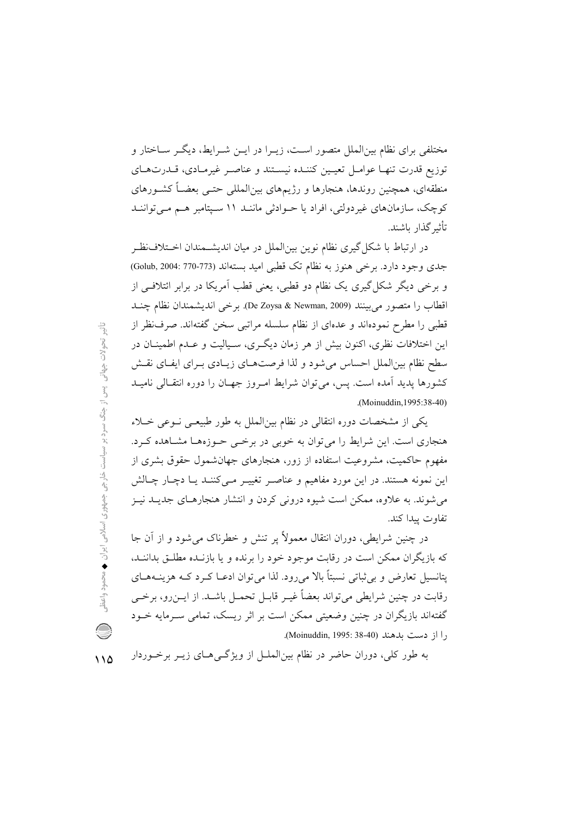مختلفی برای نظام بین|لملل متصور است، زیـرا در ایــن شــرایط، دیگــر ســاختار و توزيع قدرت تنهـا عوامـل تعيـين كننـده نيسـتند و عناصـر غيرمـادي، قـدرتهـاي منطقهای، همچنین روندها، هنجارها و رژیمهای بین|لمللی حتــی بعضــاً کشــورهای کوچک، سازمانهای غیردولتی، افراد یا حـوادثی ماننـد ۱۱ سـپتامبر هـم مـیتواننـد تأثير گذار باشند.

در ارتباط با شکل گیری نظام نوین بین|لملل در میان اندیشــمندان اخــتلافـنظــر جدی وجود دارد. برخی هنوز به نظام تک قطبی امید بستهاند (773-770 :Golub, 2004) و برخی دیگر شکل گیری یک نظام دو قطبی، یعنی قطب آمریکا در برابر ائتلافی از اقطاب را متصور مي بينند (De Zoysa & Newman, 2009). بوخي انديشمندان نظام چنـد قطبی را مطرح نمودهاند و عدهای از نظام سلسله مراتبی سخن گفتهاند. صرف نظر از این اختلافات نظری، اکنون بیش از هر زمان دیگری، سـیالیت و عـدم اطمینــان در سطح نظام بین الملل احساس می شود و لذا فرصتهای زیبادی بـرای ایفـای نقـش کشورها پدید اَمده است. پس، می توان شرایط امـروز جهـان را دوره انتقـالی نامیــد .(Moinuddin, 1995:38-40)

یکی از مشخصات دوره انتقالی در نظام بینالملل به طور طبیعـی نـوعی خـلاء هنجاری است. این شرایط را می توان به خوبی در برخمی حـوزههـا مشـاهده کـرد. مفهوم حاکمیت، مشروعیت استفاده از زور، هنجارهای جهانشمول حقوق بشری از این نمونه هستند. در این مورد مفاهیم و عناصر تغییـر مـیکننـد یـا دچـار چـالش می شوند. به علاوه، ممکن است شیوه درونی کردن و انتشار هنجارهـای جدیــد نیــز تفاوت بيدا كند.

در چنین شرایطی، دوران انتقال معمولاً پر تنش و خطرناک می شود و از آن جا که بازیگران ممکن است در رقابت موجود خود را برنده و یا بازنیده مطلبق بداننید، پتانسیل تعارض و برشاتی نسبتاً بالا میرود. لذا می توان ادعـا کـرد کـه هزینــههــای رقابت در چنین شرایطی می تواند بعضاً غیـر قابـل تحمـل باشــد. از ایــن(و، برخــی گفتهاند بازیگران در چنین وضعیتی ممکن است بر اثر ریسک، تمامی سـرمایه خــود را از دست بلهند (Moinuddin, 1995: 38-40).

به طور کلی، دوران حاضر در نظام بین|لملـل از ویژگـی۵حـای زیــر برخــوردار  $\bigwedge$ 

 $\frac{c_1^{\text{L}}}{c_1^{\text{L}}}$ تحولات جهاتی پس از جنگ سرد بر سیاست خارجی جمهوری اسلامی ایران ♦ محمود واعظر Q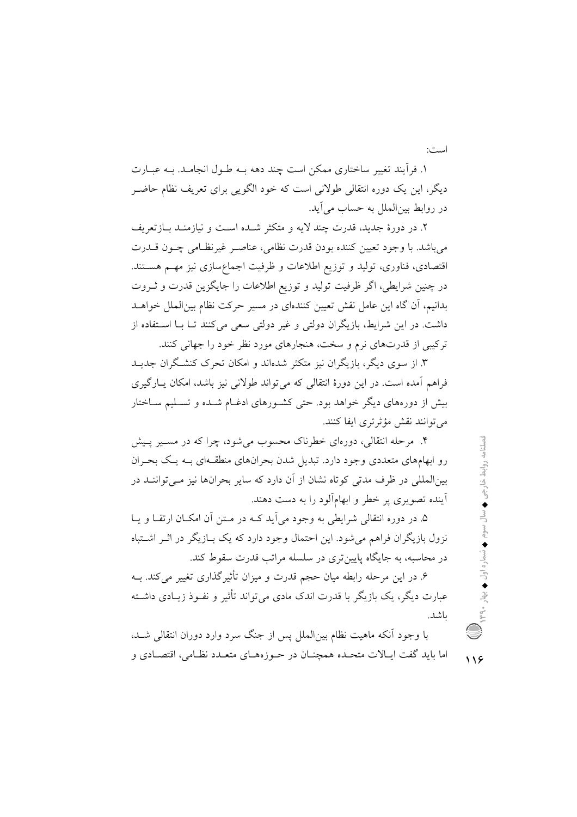است:

١. فرأيند تغيير ساختاري ممكن است چند دهه بـه طـول انجامـد. بـه عبــارت دیگر، این یک دوره انتقالی طولانی است که خود الگویی برای تعریف نظام حاضـر در روابط بین الملل به حساب می آید.

۲. در دورهٔ جدید، قدرت چند لایه و متکثر شـده اسـت و نیازمنـد بــازتعریف میباشد. با وجود تعیین کننده بودن قدرت نظامی، عناصـر غیرنظـامی چــون قــدرت اقتصادی، فناوری، تولید و توزیع اطلاعات و ظرفیت اجماعسازی نیز مهم هستند. در چنین شرایطی، اگر ظرفیت تولید و توزیع اطلاعات را جایگزین قدرت و ثـروت بدانیم، آن گاه این عامل نقش تعیین کنندهای در مسیر حرکت نظام بین(لملل خواهـد داشت. در این شرایط، بازیگران دولتی و غیر دولتی سعی می کنند تــا بــا اســتفاده از ترکیبی از قدرتهای نرم و سخت، هنجارهای مورد نظر خود را جهانی کنند.

۳. از سوی دیگر، بازیگران نیز متکثر شدهاند و امکان تحرک کنشگران جدیــد فراهم آمده است. در این دورهٔ انتقالی که می تواند طولانی نیز باشد، امکان پارگیری بیش از دورههای دیگر خواهد بود. حتی کشـورهای ادغــام شــده و تســلیم ســاختار می توانند نقش مؤثر تری ایفا کنند.

۴. مرحله انتقالی، دورهای خطرناک محسوب می شود، چرا که در مسـیر پـیش رو ابهامهای متعددی وجود دارد. تبدیل شدن بحرانهای منطقـهای بـه یـک بحـران بینالمللی در ظرف مدتی کوتاه نشان از آن دارد که سایر بحرانها نیز مـیتواننــد در .<br>آینده تصویری پر خطر و ابهامآلود را به دست دهند.

۵. در دوره انتقالی شرایطی به وجود می آید کـه در مـتن آن امکـان ارتقــا و پــا نزول بازیگران فراهم می شود. این احتمال وجود دارد که یک بــازیگر در اثــر اشــتباه در محاسبه، به جایگاه پایین تری در سلسله مراتب قدرت سقوط کند.

۶. در این مرحله رابطه میان حجم قدرت و میزان تأثیرگذاری تغییر میکند. بــه عبارت دیگر، یک بازیگر با قدرت اندک مادی میتواند تأثیر و نفـوذ زیـادی داشـته ىاشد.

با وجود آنکه ماهیت نظام بین|لملل پس از جنگ سرد وارد دوران انتقالی شــد، اما بايد گفت ايـالات متحـده همچنــان در حــوزههــاي متعــدد نظــامي، اقتصــادي و  $119$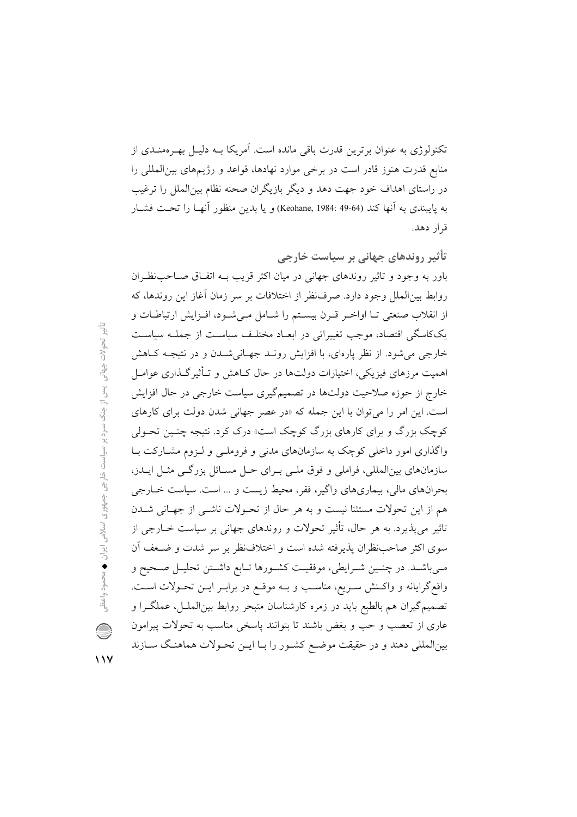تکنولوژی به عنوان برترین قدرت باقی مانده است. آمریکا بــه دلیــل بهــرهمنــدی از منابع قدرت هنوز قادر است در برخی موارد نهادها، قواعد و رژیمهای بین المللی را در راستای اهداف خود جهت دهد و دیگر بازیگران صحنه نظام بینالملل را ترغیب به پايبندي به آنها كند (44-49 :Keohane, 1984) و يا بدين منظور آنهـا را تحـت فشــار قرار دهد.

تأثیر روندهای جهانی بر سیاست خارجی باور به وجود و تاثیر روندهای جهانی در میان اکثر قریب بـه اتفـاق صـاحبنظـران روابط بین الملل وجود دارد. صرف نظر از اختلافات بر سر زمان آغاز این روندها، که از انقلاب صنعتی تـا اواخـر قـرن بیسـتم را شـامل مـی شـود، افـزایش ارتباطـات و یککاسگی اقتصاد، موجب تغییراتی در ابعـاد مختلـف سیاسـت از جملـه سیاسـت خارجی می شود. از نظر پارهای، با افزایش رونـد جهـانی شـدن و در نتیجـه كـاهش اهمیت مرزهای فیزیکی، اختیارات دولتها در حال کـاهش و تـأثیرگـذاری عوامـل خارج از حوزه صلاحیت دولتها در تصمیمگیری سیاست خارجی در حال افزایش است. این امر را می توان با این جمله که «در عصر جهانی شدن دولت برای کارهای کوچک بزرگ و برای کارهای بزرگ کوچک است» درک کرد. نتیجه چنـین تحـولی واگذاری امور داخلی کوچک به سازمانهای مدنی و فروملـی و لـزوم مشـارکت بـا سازمانهای بینالمللی، فراملی و فوق ملبی بـرای حـل مسـائل بزرگـی مثـل ایــدز، بحرانهای مالی، بیماریهای واگیر، فقر، محیط زیست و ... است. سیاست خــارجی هم از این تحولات مستثنا نیست و به هر حال از تحـولات ناشــی از جهـانی شــدن تاثیر می،پذیرد. به هر حال، تأثیر تحولات و روندهای جهانی بر سیاست خــارجی از سوی اکثر صاحب ظران پذیرفته شده است و اختلاف نظر بر سر شدت و ضـعف آن مبي باشـد. در چنـين شـرايطي، موفقيـت كشـورها تـابع داشـتن تحليـل صـحيح و واقع گرایانه و واکـنش سـریع، مناسـب و بـه موقـع در برابـر ایــن تحـولات اسـت. تصمیم گیران هم بالطبع باید در زمره کارشناسان متبحر روابط بینالملـل، عملگـرا و عاری از تعصب و حب و بغض باشند تا بتوانند پاسخی مناسب به تحولات پیرامون بینالمللی دهند و در حقیقت موضع کشـور را بـا ایـن تحـولات هماهنـگ سـازند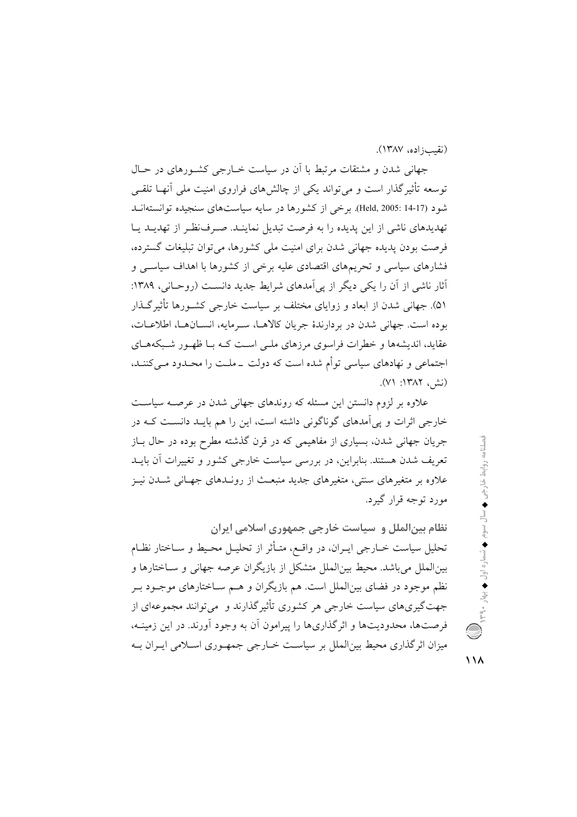(نقب); اده، ۱۳۸۷).

جهانی شدن و مشتقات مرتبط با آن در سیاست خبارجی کشبورهای در حبال توسعه تأثیر گذار است و می تواند یکی از چالش های فراروی امنیت ملی آنهـا تلقـی شود (Held, 2005: 14-17). برخی از کشورها در سایه سیاستهای سنجیده توانستهانید تهدیدهای ناشی از این پدیده را به فرصت تبدیل نماینـد. صـرف(ظـر از تهدیـد یـا فرصت بودن پدیده جهانی شدن برای امنیت ملی کشورها، می توان تبلیغات گسترده، فشارهای سیاسی و تحریمهای اقتصادی علیه برخی از کشورها با اهداف سیاسبی و أثار ناشی از آن را یکی دیگر از پیآمدهای شرایط جدید دانست (روحـانی، ۱۳۸۹: ۵۱). جهانی شدن از ابعاد و زوایای مختلف بر سیاست خارجی کشـورها تأثیرگـذار بوده است. جهانی شدن در بردارندهٔ جریان کالاهـا، سـرمایه، انســانهــا، اطلاعــات، عقاید، اندیشهها و خطرات فراسوی مرزهای ملبی است کـه بـا ظهـور شـبکههـای اجتماعی و نهادهای سیاسی توأم شده است که دولت \_ملـت را محـدود مـی کننـد، (نش, ١٣٨٢: ٧١).

علاوه بر لزوم دانستن این مسئله که روندهای جهانی شدن در عرصـه سیاسـت خارجی اثرات و یی آمدهای گوناگونی داشته است، این را هم بایـد دانسـت کـه در جريان جهاني شدن، بسياري از مفاهيمي كه در قرن گذشته مطرح بوده در حال بــاز تعریف شدن هستند. بنابراین، در بررسی سیاست خارجی کشور و تغییرات آن بایــد علاوه بر متغیرهای سنتی، متغیرهای جدید منبعث از رونـدهای جهـانی شـدن نیـز مورد توجه قرار گیرد.

نظام بین|لملل و سیاست خارجی جمهوری اسلامی ایران تحلیل سیاست خــارجی ایــران، در واقــع، متــأثر از تحلیــل محـیط و ســاختار نظــام بین|لملل می باشد. محیط بین|لملل متشکل از بازیگران عرصه جهانی و ســاختارها و نظم موجود در فضای بین|لملل است. هم بازیگران و هــم ســاختارهای موجــود بــر جهت گیری های سیاست خارجی هر کشوری تأثیر گذارند و پمی توانند مجموعهای از فرصتها، محدودیتها و اثرگذاریها را پیرامون آن به وجود آورند. در این زمینـه، میزان اثر گذاری محیط بین|لملل بر سیاست خــارجی جمهـوری اســلامی ایــران بــه

 $\vee$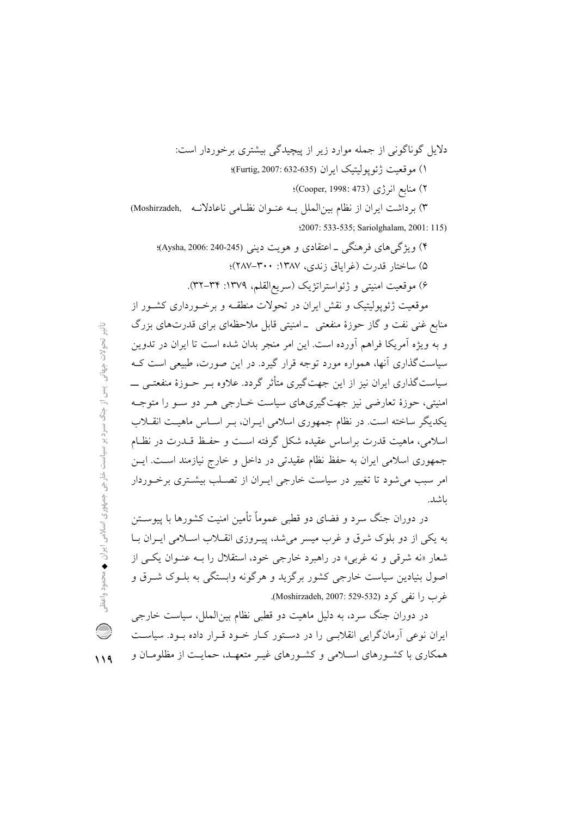۴) ویژگی های فرهنگی ــ اعتقادی و هویت دینی (Aysha, 2006: 240-245)؛ ۵) ساختار قدرت (غراباق زندی، ۱۳۸۷: ۳۰۰-۲۸۷)؛ ۶) موقعیت امنیتی و ژئواستراتژیک (سریع|لقلم، ۱۳۷۹: ۳۴–۳۲).

موقعیت ژئوپولیتیک و نقش ایران در تحولات منطقـه و برخـورداری کشــور از منابع غنی نفت و گاز حوزهٔ منفعتی \_امنیتی قابل ملاحظهای برای قدرتهای بزرگ و به ویژه آمریکا فراهم آورده است. این امر منجر بدان شده است تا ایران در تدوین سیاست گذاری آنها، همواره مورد توجه قرار گیرد. در این صورت، طبیعی است ک سیاستگذاری ایران نیز از این جهتگیری متأثر گردد. علاوه بــر حــوزهٔ منفعتــی ـــــ امنیتی، حوزهٔ تعارضی نیز جهتگیریهای سیاست خبارجی هـر دو سـو را متوجـه یکدیگر ساخته است. در نظام جمهوری اسلامی ایـران، بـر اسـاس ماهیـت انقــلاب اسلامی، ماهیت قدرت براساس عقیده شکل گرفته است و حفـظ قــدرت در نظــام جمهوري اسلامي ايران به حفظ نظام عقيدتي در داخل و خارج نيازمند است. ايــن امر سبب می شود تا تغییر در سیاست خارجی ایـران از تصـلب بیشـتری برخـوردار ىاشد.

در دوران جنگ سرد و فضای دو قطبی عموماً تأمین امنیت کشورها با پیوســتن به یکی از دو بلوک شرق و غرب میسر می شد، پیـروزی انقـلاب اسـلامی ایـران بـا شعار «نه شرقي و نه غربي» در راهيرد خارجي خود، استقلال را سه عنـوان يكـي از اصول بنیادین سیاست خارجی کشور برگزید و هرگونه وابستگی به بلــوک شــرق و غرب را نفي كرد (Moshirzadeh, 2007: 529-532).

در دوران جنگ سرد، به دلیل ماهیت دو قطبی نظام بینالملل، سیاست خارجی ایران نوعی آرمانگرایی انقلابسی را در دستور کبار خبود قبرار داده ببود. سیاست همکاری با کشـورهای اسـلامی و کشـورهای غیـر متعهـد، حمایـت از مظلومـان و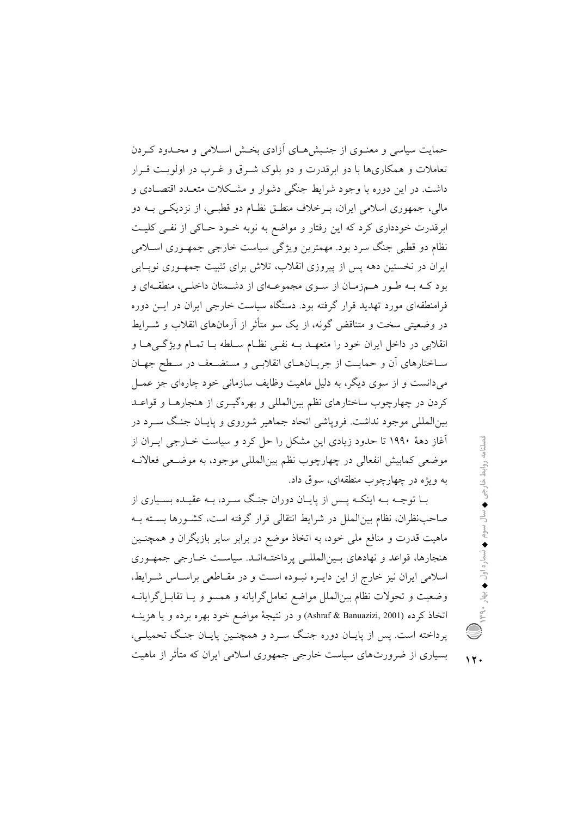حمایت سیاسی و معنـوی از جنـبش۵حـای آزادی بخـش اسـلامی و محـدود کـردن تعاملات و همکاریها با دو ابرقدرت و دو بلوک شـرق و غـرب در اولویـت قـرار داشت. در این دوره با وجود شرایط جنگی دشوار و مشـکلات متعــدد اقتصــادی و مالي، جمهوري اسلامي ايران، پيرخلاف منطبق نظيام دو قطبي، از نزديكي پيه دو ابرقدرت خودداری کرد که این رفتار و مواضع به نوبه خـود حـاکی از نفـی کلیـت نظام دو قطبی جنگ سرد بود. مهمترین ویژگی سیاست خارجی جمه وری اسلامی ایران در نخستین دهه پس از پیروزی انقلاب، تلاش برای تثبیت جمهـوری نویـایی بود کـه بـه طـور هـمزمـان از سـوى مجموعـهاى از دشـمنان داخلـى، منطقـهاى و فرامنطقهای مورد تهدید قرار گرفته بود. دستگاه سیاست خارجی ایران در ایــن دوره در وضعتی سخت و متناقض گونه، از یک سو متأثر از آرمانهای انقلاب و شـرابط انقلابي در داخل ايران خود را متعهـد بــه نفــي نظــام ســلطه بــا تمــام ويژگــي هــا و ساختارهای آن و حمایت از جریانهای انقلابی و مستضعف در سطح جهان میدانست و از سوی دیگر، به دلیل ماهیت وظایف سازمانی خود چارهای جز عمـل کردن در چهارچوب ساختارهای نظم بین|لمللی و بهرهگیـری از هنجارهــا و قواعــد بین|لمللی موجود نداشت. فرویاشی اتحاد جماهیر شوروی و پایـان جنـگ سـرد در آغاز دههٔ ۱۹۹۰ تا حدود زیادی این مشکل را حل کرد و سیاست خــارجی ایــران از موضعي كمابيش انفعالي در چهارچوب نظم بين|لمللي موجود، به موضـعي فعالانــه به ويژه در چهارچوب منطقهاي، سوق داد.

بــا توجــه بــه اينكــه پــس از پايــان دوران جنــگ ســرد، بــه عقيــده بســياري از صاحب نظران، نظام بین|لملل در شرایط انتقالی قرار گرفته است، کشـورها بســته بــه ماهیت قدرت و منافع ملی خود، به اتخاذ موضع در برابر سایر بازیگران و همچنـین هنجارها، قواعد و نهادهای بـینالمللـی پرداختـهانـد. سیاسـت خـارجی جمهـوری اسلامی ایران نیز خارج از این دایـره نبـوده اسـت و در مقـاطعی براسـاس شـرایط، وضعیت و تحولات نظام بین|لملل مواضع تعامل گرایانه و همسو و یــا تقابــل گرایانــه اتخاذ كرده (Ashraf & Banuazizi, 2001) و در نتيجهٔ مواضع خود بهره برده و يا هزينــه پرداخته است. پس از پایـان دوره جنـگ سـرد و همچنـین پایـان جنـگ تحمیلـی، بسیاری از ضرورتهای سیاست خارجی جمهوری اسلامی ایران که متأثر از ماهیت

 $\lambda$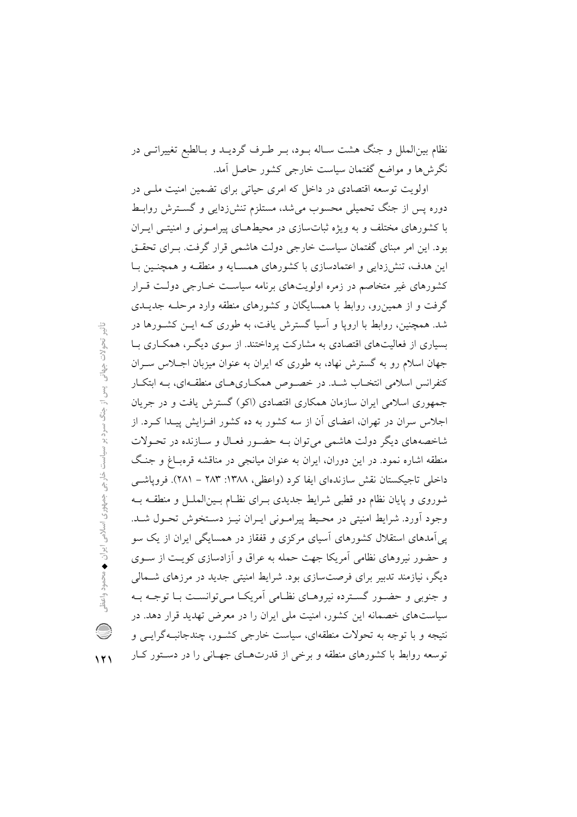نظام بین|لملل و جنگ هشت سـاله بـود، بـر طـرف گردیـد و بـالطبع تغییراتـی در نگرش۵ا و مواضع گفتمان سیاست خارجی کشور حاصل آمد.

اولویت توسعه اقتصادی در داخل که امری حیاتی برای تضمین امنیت ملـی در دوره پس از جنگ تحمیلی محسوب می شد، مستلزم تنش(دایی و گســترش روابـط با کشورهای مختلف و به ویژه ثباتسازی در محیطهـای پیرامـونی و امنیتـی ایـران بود. این امر مبنای گفتمان سیاست خارجی دولت هاشمی قرار گرفت. بـرای تحقـق این هدف، تنشزدایی و اعتمادسازی با کشورهای همسـایه و منطقــه و همچنــین بــا کشورهای غیر متخاصم در زمره اولویتهای برنامه سیاست خـارجی دولـت قـرار گرفت و از همین رو، روابط با همسایگان و کشورهای منطقه وارد مرحلـه جدیــدی شد. همچنین، روابط با اروپا و آسیا گسترش یافت، به طوری کــه ایــن کشــورها در بسیاری از فعالیتهای اقتصادی به مشارکت پرداختند. از سوی دیگـر، همکــاری بــا جهان اسلام رو به گسترش نهاد، به طوری که ایران به عنوان میزبان اجـلاس سـران کنفرانس اسلامی انتخـاب شـد. در خصـوص همکـاریهـای منطقـهای، بـه ابتکـار جمهوری اسلامی ایران سازمان همکاری اقتصادی (اکو) گسترش یافت و در جریان اجلاس سران در تهران، اعضای آن از سه کشور به ده کشور افـزایش پیـدا کـرد. از شاخصههای دیگر دولت هاشمی می توان بـه حضـور فعـال و سـازنده در تحـولات منطقه اشاره نمود. در این دوران، ایران به عنوان میانجی در مناقشه قرهبـاغ و جنـگ داخلی تاجیکستان نقش سازندهای ایفا کرد (واعظی، ۱۳۸۸: ۲۸۳ – ۲۸۱). فروپاشبی شوروی و پایان نظام دو قطبی شرایط جدیدی بـرای نظـام بـین(لملــل و منطقــه بــه وجود آورد. شرايط امنيتي در محيط پيرامـوني ايـران نيـز دسـتخوش تحـول شـد. یی آمدهای استقلال کشورهای آسیای مرکزی و قفقاز در همسایگی ایران از یک سو و حضور نیروهای نظامی آمریکا جهت حمله به عراق و آزادسازی کویت از سیوی دیگر، نیازمند تدبیر برای فرصتسازی بود. شرایط امنیتی جدید در مرزهای شـمالی و جنوبی و حضـور گسـترده نیروهـای نظـامی اَمریکـا مـی توانسـت بـا توجـه بـه سیاستهای خصمانه این کشور، امنیت ملی ایران را در معرض تهدید قرار دهد. در نتیجه و با توجه به تحولات منطقهای، سیاست خارجی کشـور، چندجانبـهگرایـی و توسعه روابط با کشورهای منطقه و برخی از قدرتهای جهـانی را در دسـتور کـار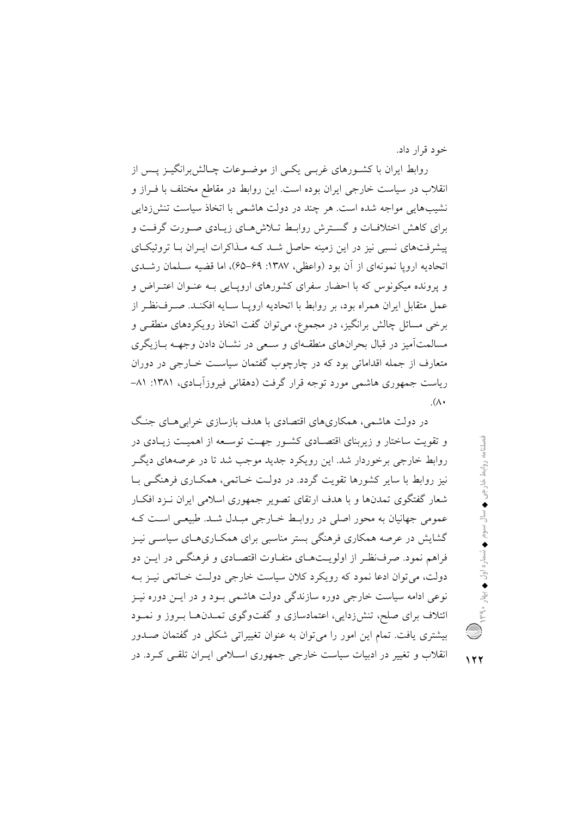خود قرار داد.

روابط ایران با کشـورهای غربـی یکـی از موضـوعات چـالش;رانگیـز پــس از انقلاب در سیاست خارجی ایران بوده است. این روابط در مقاطع مختلف با فـراز و نشیبهایی مواجه شده است. هر چند در دولت هاشمی با اتخاذ سیاست تنش(دایی برای کاهش اختلافیات و گسترش روابط تیلاش هیای زیبادی صبورت گرفت و پیشرفتهای نسبی نیز در این زمینه حاصل شد کـه مـذاکرات ایـران بـا تروئیکـای اتحادیه اروپا نمونهای از آن بود (واعظی، ۱۳۸۷: ۶۹–۶۵)، اما قضیه سـلمان رشــدی و پرونده میکونوس که با احضار سفرای کشورهای اروپایی بـه عنـوان اعتـراض و عمل متقابل ايران همراه بود، بر روابط با اتحاديه ارويــا ســايه افكنــد. صــرفنظـر از برخی مسائل چالش برانگیز، در مجموع، می توان گفت اتخاذ رویکردهای منطقبی و مسالمتآمیز در قبال بحرانهای منطقهای و سعی در نشـان دادن وجهــه بــازیگری متعارف از جمله اقداماتی بود که در چارچوب گفتمان سیاست خـارجی در دوران ریاست جمهوری هاشمی مورد توجه قرار گرفت (دهقانی فیروزآبادی، ۱۳۸۱: ۸۱–  $(\wedge \cdot$ 

در دولت هاشمی، همکاریهای اقتصادی با هدف بازسازی خرابی هـای جنـگ و تقویت ساختار و زیربنای اقتصـادی کشـور جهـت توسـعه از اهمیـت زیـادی در روابط خارجی برخوردار شد. این رویکرد جدید موجب شد تا در عرصههای دیگر نیز روابط با سایر کشورها تقویت گردد. در دولت خـاتمی، همکـاری فرهنگــی بـا شعار گفتگوی تمدنها و با هدف ارتقای تصویر جمهوری اسلامی ایران نـزد افکـار عمومی جهانیان به محور اصلی در روابط خبارجی مبیدل شید. طبیعتی است کیه گشایش در عرصه همکاری فرهنگی بستر مناسبی برای همکـاریهـای سیاســی نیــز فراهم نمود. صرفنظر از اولویتهبای متفیاوت اقتصبادی و فرهنگی در این دو دولت، مي توان ادعا نمود كه رويكرد كلان سياست خارجي دولت خـاتمي نيـز بـه نوعی ادامه سیاست خارجی دوره سازندگی دولت هاشمی بـود و در ایــن دوره نیــز ائتلاف برای صلح، تنشززدایی، اعتمادسازی و گفتوگوی تمـدنهـا بـروز و نمـود بیشتری یافت. تمام این امور را می توان به عنوان تغییراتی شکلی در گفتمان صـدور انقلاب و تغییر در ادبیات سیاست خارجی جمهوری اسـلامی ایـران تلقـی کـرد. در

 $157$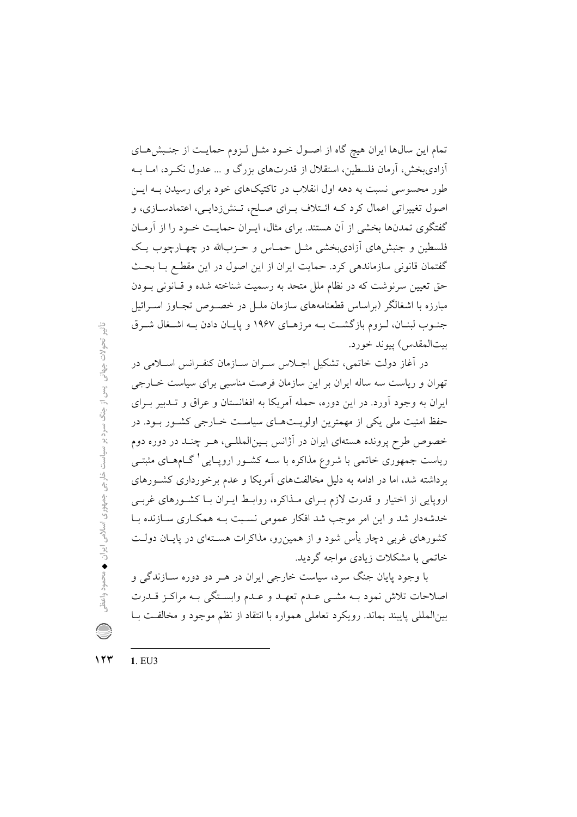تمام این سالها ایران هیچ گاه از اصول خود مثـل لـزوم حمایـت از جنـبشهـای آزادیبخش، آرمان فلسطین، استقلال از قدرتهای بزرگ و … عدول نک رد، امــا بــه طور محسوسی نسبت به دهه اول انقلاب در تاکتیکهای خود برای رسیدن بـه ایــن اصول تغییراتی اعمال کرد کـه ائـتلاف بـرای صـلح، تـنش(دایـی، اعتمادسـازی، و گفتگوی تمدنها بخشی از آن هستند. برای مثال، ایـران حمایـت خـود را از آرمـان فلسطین و جنبشهای آزادیبخشی مثـل حمـاس و حـزبالله در چهـارچوب یـک گفتمان قانونی سازماندهی کرد. حمایت ایران از این اصول در این مقطع بـا بحـث حق تعیین سرنوشت که در نظام ملل متحد به رسمیت شناخته شده و قـانونی بـودن مبارزه با اشغالگر (براساس قطعنامههای سازمان ملــل در خصــوص تجــاوز اســرائيل جنبوب لبنـان، لـزوم بازگشـت بـه مرزهـاي ١٩۶٧ و پايـان دادن بـه اشـغال شـرق بيتالمقدس) ييوند خورد.

در آغاز دولت خاتمی، تشکیل اجللاس سـران سـازمان کنفـرانس اسـلامی در تهران و ریاست سه ساله ایران بر این سازمان فرصت مناسبی برای سیاست خـارجی ایران به وجود آورد. در این دوره، حمله آمریکا به افغانستان و عراق و تـدبیر بـرای حفظ امنیت ملی یکی از مهمترین اولویـتهـای سیاسـت خـارجی کشـور بـود. در خصوص طرح پرونده هستهای ایران در آژانس بـینالمللـی، هـر چنـد در دوره دوم ریاست جمهوری خاتمی با شروع مذاکره با سـه کشـور ارویـایی <sup>۱</sup> گــامهــای مثبتــی برداشته شد، اما در ادامه به دلیل مخالفتهای آمریکا و عدم برخورداری کشورهای اروپایی از اختیار و قدرت لازم بـرای مـذاکره، روابـط ایـران بـا کشـورهای غربـی خدشهدار شد و این امر موجب شد افکار عمومی نسبت بـه همکاری سـازنده بـا کشورهای غربی دچار یأس شود و از همین٫و، مذاکرات هسـتهای در پایـان دولـت خاتمے یا مشکلات زیادی مواجه گردید.

با وجود پایان جنگ سرد، سیاست خارجی ایران در هـر دو دوره ســازندگی و اصلاحات تلاش نمود بـه مشـي عـدم تعهـد و عـدم وابسـتگي بـه مراكـز قـدرت بین|لمللی پایبند بماند. رویکرد تعاملی همواره با انتقاد از نظم موجود و مخالفت بـا

 $157$ 1. EU3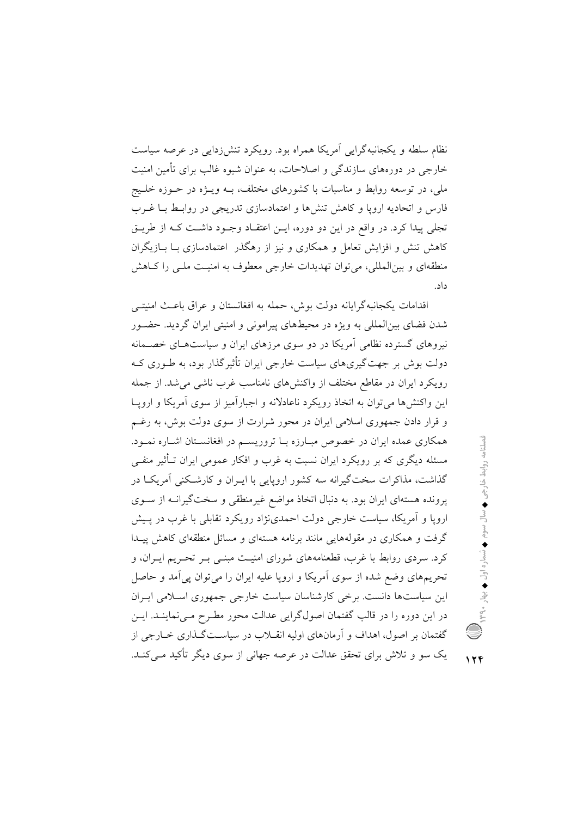نظام سلطه و یکجانبهگرایی آمریکا همراه بود. رویکرد تنش(دایی در عرصه سیاست خارجی در دورههای سازندگی و اصلاحات، به عنوان شیوه غالب برای تأمین امنیت ملی، در توسعه روابط و مناسبات با کشورهای مختلف، بــه ویــژه در حــوزه خلــیج فارس و اتحادیه اروپا و کاهش تنش ها و اعتمادسازی تدریجی در روابط بیا غیرب تجلي پيدا كرد. در واقع در اين دو دوره، ايــن اعتقــاد وجــود داشــت كــه از طريــق کاهش تنش و افزایش تعامل و همکاری و نیز از رهگذر اعتمادسازی بـا بــازیگران منطقهای و بین|لمللی، می توان تهدیدات خارجی معطوف به امنیـت ملـی را کــاهش داد.

اقدامات يكجانبه گرايانه دولت بوش، حمله به افغانستان و عراق باعـث امنيتـي شدن فضای بین|لمللی به ویژه در محیطهای پیرامونی و امنیتی ایران گردید. حضـور نیروهای گسترده نظامی آمریکا در دو سوی مرزهای ایران و سیاستهـای خصــمانه دولت بوش بر جهت گیریهای سیاست خارجی ایران تأثیر گذار بود، به طـوری کـه رویکرد ایران در مقاطع مختلف از واکنش های نامناسب غرب ناشبی می شد. از جمله این واکنش ها می توان به اتخاذ رویکرد ناعادلانه و اجبارآمیز از سوی آمریکا و ارویـا و قرار دادن جمهوری اسلامی ایران در محور شرارت از سوی دولت بوش، به رغـم همکاری عمده ایران در خصوص مبـارزه بـا تروریسـم در افغانسـتان اشـاره نمـود. مسئله دیگری که بر رویکرد ایران نسبت به غرب و افکار عمومی ایران تـأثیر منفــی گذاشت، مذاکرات سختگیرانه سه کشور اروپایی با ایــران و کارشــکنی آمریکــا در یرونده هستهای ایران بود. به دنبال اتخاذ مواضع غیرمنطقی و سختگیرانــه از ســوی ارویا و آمریکا، سیاست خارجی دولت احمدی نژاد رویکرد تقابلی با غرب در پـیش گرفت و همکاری در مقولههایی مانند برنامه هستهای و مسائل منطقهای کاهش پیـدا کرد. سردی روابط با غرب، قطعنامههای شورای امنیـت مبنـی بــر تحــریم ایــران، و تحریمهای وضع شده از سوی اَمریکا و اروپا علیه ایران را می توان پی اَمد و حاصل این سیاستها دانست. برخی کارشناسان سیاست خارجی جمهوری اسلامی ایـران در این دوره را در قالب گفتمان اصولگرایی عدالت محور مطـرح مـیiماینــد. ایــن گفتمان بر اصول، اهداف و آرمانهای اولیه انقــلاب در سیاســتگــذاری خــارجی از یک سو و تلاش برای تحقق عدالت در عرصه جهانی از سوی دیگر تأکید مے کنـد.

 $156$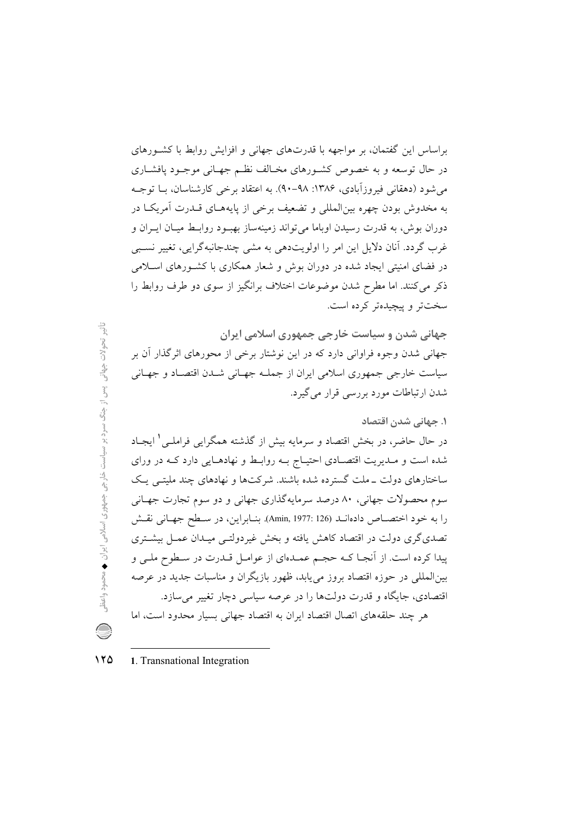براساس این گفتمان، بر مواجهه با قدرتهای جهانی و افزایش روابط با کشورهای در حال توسعه و به خصوص کشـورهای مخـالف نظـم جهـانی موجـود یافشـاری می شود (دهقانی فیروزآبادی، ۱۳۸۶: ۹۸–۹۰). به اعتقاد برخی کارشناسان، بــا توجــه به مخدوش بودن چهره بین(لمللی و تضعیف برخی از پایههـای قــدرت آمریکــا در دوران بوش، به قدرت رسیدن اوباما می تواند زمینهساز بهبود روابط میبان ایبران و غرب گردد. آنان دلایل این امر را اولویتدهی به مشی چندجانبهگرایی، تغییر نسببی در فضای امنیتی ایجاد شده در دوران بوش و شعار همکاری با کشـورهای اسـلامی ذکر می کنند. اما مطرح شدن موضوعات اختلاف برانگیز از سوی دو طرف روابط را سختتر وييچيدهتر كرده است.

جهانی شدن و سیاست خارجی جمهوری اسلامی ایران جهانی شدن وجوه فراوانی دارد که در این نوشتار برخی از محورهای اثر گذار آن بر سیاست خارجی جمهوری اسلامی ایران از جملـه جهـانی شـدن اقتصـاد و جهـانی شدن ارتباطات مورد بررسی قرار می گیرد.

## ۱. جهانی شدن اقتصاد

در حال حاضر، در بخش اقتصاد و سرمایه بیش از گذشته همگرایی فراملـی ٰ ایجـاد شده است و مـديريت اقتصـادي احتيـاج بـه روابـط و نهادهـايي دارد كـه در وراي ساختارهای دولت \_ملت گسترده شده باشند. شرکتها و نهادهای چند ملیتبی یـک سوم محصولات جهاني، ٨٠ درصد سرمايهگذاري جهاني و دو سوم تجارت جهـاني را به خود اختصـاص دادهانـد (126 :Amin, 1977). بنـابراين، در سـطح جهـاني نقـش تصدی گری دولت در اقتصاد کاهش یافته و بخش غیردولتـبی میـدان عمـل بیشـتری پیدا کرده است. از آنجـا کـه حجـم عمـدهای از عوامـل قـدرت در سـطوح ملـی و بین المللی در حوزه اقتصاد بروز می یابد، ظهور بازیگران و مناسبات جدید در عرصه اقتصادی، جایگاه و قدرت دولتها را در عرصه سیاسی دچار تغییر می سازد. هر چند حلقههای اتصال اقتصاد ایران به اقتصاد جهانی بسیار محدود است، اما

## $170$ 1. Transnational Integration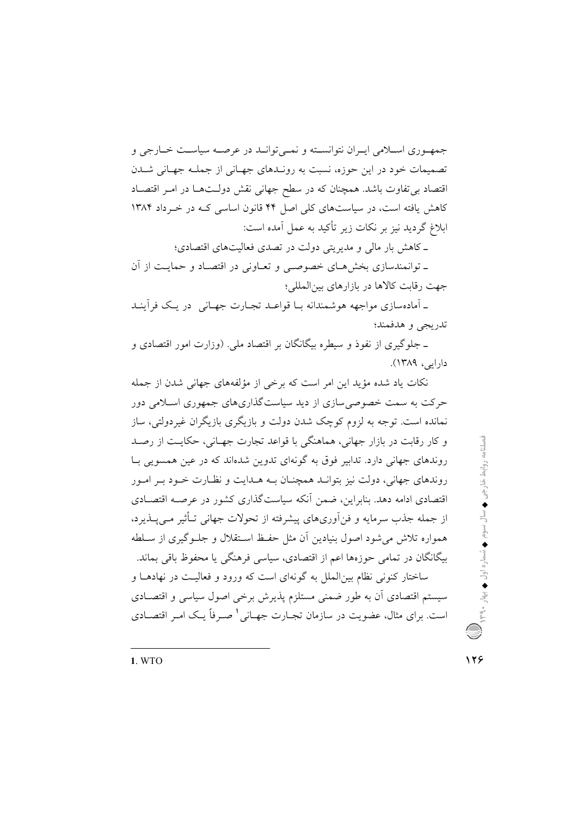جمهـوري اسـلامي ايـران نتوانسـته و نمـي توانــد در عرصـه سياسـت خــارجي و تصمیمات خود در این حوزه، نسبت به رونـدهای جهـانی از جملـه جهـانی شــدن اقتصاد بی تفاوت باشد. همچنان که در سطح جهانی نقش دولـتهـا در امـر اقتصـاد کاهش یافته است، در سیاستهای کلی اصل ۴۴ قانون اساسی کـه در خـرداد ۱۳۸۴ ابلاغ گردید نیز بر نکات زیر تأکید به عمل آمده است:

ـ كاهش بار مالي و مديريتي دولت در تصدى فعاليتهاى اقتصادى؛

ـ توانمندسازي بخش هـاي خصوصـي و تعـاوني در اقتصـاد و حمايـت از آن جهت رقابت كالاها در بازارهاى بين المللي؛

۔ آمادہسازی مواجهه هوشمندانه بـا قواعـد تجـارت جهـانی ِ در یـک فرآینـد تدريجي و هدفمند؛

ـ جلوگیری از نفوذ و سیطره بیگانگان بر اقتصاد ملی. (وزارت امور اقتصادی و دارایی، ۱۳۸۹).

نکات یاد شده مؤید این امر است که برخی از مؤلفههای جهانی شدن از جمله حرکت به سمت خصوصی سازی از دید سیاستگذاریهای جمهوری اسـلامی دور نمانده است. توجه به لزوم کوچک شدن دولت و بازیگری بازیگران غیردولتی، ساز و کار رقابت در بازار جهانی، هماهنگی با قواعد تجارت جهـانی، حکایـت از رصـد روندهای جهانی دارد. تدابیر فوق به گونهای تدوین شدهاند که در عین همسویی بـا روندهای جهانی، دولت نیز بتوانید همچنیان بیه هیدایت و نظیارت خیود بیر امیور اقتصادی ادامه دهد. بنابراین، ضمن أنکه سیاستگذاری کشور در عرصـه اقتصـادی از جمله جذب سرمایه و فن آوریهای پیشرفته از تحولات جهانی تــأثیر مــی پــذیرد، همواره تلاش می شود اصول بنیادین أن مثل حفـظ اسـتقلال و جلـوگیری از سـلطه بیگانگان در تمامی حوزهها اعم از اقتصادی، سیاسی فرهنگی یا محفوظ باقی بماند. ساختار کنونی نظام بینالملل به گونهای است که ورود و فعالیت در نهادهـا و سیستم اقتصادی آن به طور ضمنی مستلزم پذیرش برخی اصول سیاسی و اقتصـادی است. برای مثال، عضویت در سازمان تجــارت جهــانی <sup>۱</sup> صــرفاً یــک امـر اقتصــادی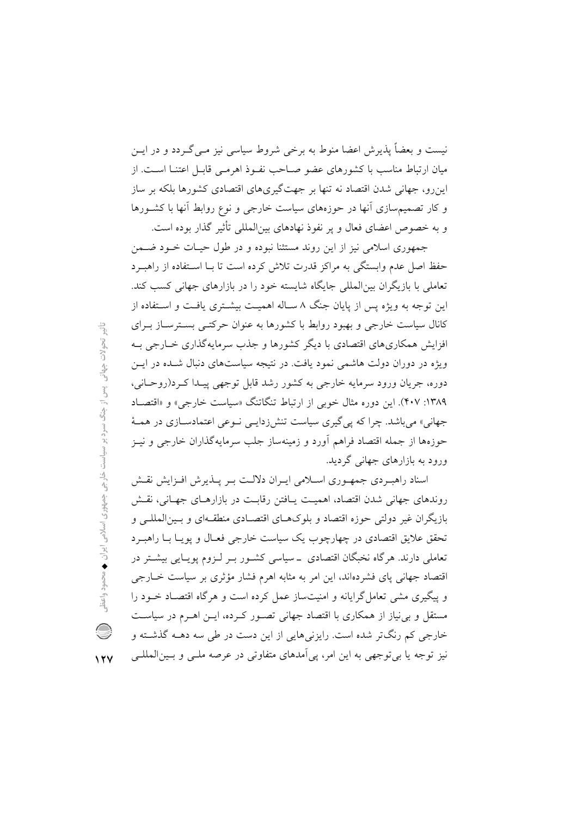نیست و بعضاً پذیرش اعضا منوط به برخی شروط سیاسی نیز مــی گــردد و در ایــن میان ارتباط مناسب با کشورهای عضو صـاحب نفـوذ اهرمـی قابـل اعتنـا اســت. از اینرو، جهانی شدن اقتصاد نه تنها بر جهتگیریهای اقتصادی کشورها بلکه بر ساز و کار تصمیم سازی آنها در حوزههای سیاست خارجی و نوع روابط آنها با کشـورها و به خصوص اعضای فعال و یر نفوذ نهادهای بینالمللی تأثیر گذار بوده است.

جمهوری اسلامی نیز از این روند مستثنا نبوده و در طول حیـات خـود ضـمن حفظ اصل عدم وابستگی به مراکز قدرت تلاش کرده است تا بـا اسـتفاده از راهبـرد تعاملی با بازیگران بین|لمللی جایگاه شایسته خود را در بازارهای جهانی کسب کند. این توجه به ویژه پس از پایان جنگ ۸ سـاله اهمیـت بیشـتری یافـت و اسـتفاده از کانال سیاست خارجی و بهبود روابط با کشورها به عنوان حرکتبی بسترساز بـرای افزایش همکاریهای اقتصادی با دیگر کشورها و جذب سرمایهگذاری خــارجی بــه ویژه در دوران دولت هاشمی نمود یافت. در نتیجه سیاستهای دنبال شـده در ایــن دوره، جريان ورود سرمايه خارجي به كشور رشد قابل توجهي پيـدا كـرد(روحـاني، ۱۳۸۹: ۴۰۷). این دوره مثال خوبی از ارتباط تنگاتنگ «سیاست خارجی» و «اقتصـاد جهانی» می باشد. چرا که یی گیری سیاست تنشزدایـی نـوعی اعتمادسـازی در همـهٔ حوزهها از جمله اقتصاد فراهم آورد و زمینهساز جلب سرمایهگذاران خارجی و نیـز ورود به بازارهای جهانی گردید.

اسناد راهبـردي جمهـوري اسـلامي ايـران دلالـت بـر پــذيرش افـزايش نقـش روندهای جهانی شدن اقتصاد، اهمیت پـافتن رقابـت در بازارهـای جهـانی، نقـش بازیگران غیر دولتی حوزه اقتصاد و بلوکهـای اقتصـادی منطقـهای و بـین|لمللـی و تحقق علايق اقتصادي در چهارچوب يک سياست خارجي فعـال و يويـا بـا راهبـرد تعاملی دارند. هرگاه نخبگان اقتصادی \_سیاسی کشـور بـر لـزوم پویـایی بیشــتر در اقتصاد جهانی پای فشردهاند، این امر به مثابه اهرم فشار مؤثری بر سیاست خـارجی و پیگیری مشی تعامل گرایانه و امنیتساز عمل کرده است و هرگاه اقتصـاد خــود را مستقل و بی نیاز از همکاری با اقتصاد جهانی تصـور کـرده، ایــن اهــرم در سیاســت خارجي كم رنگتر شده است. رايزني هايي از اين دست در طي سه دهــه گذشــته و نیز توجه یا بی توجهی به این امر، یی آمدهای متفاوتی در عرصه ملـی و بـینالمللـی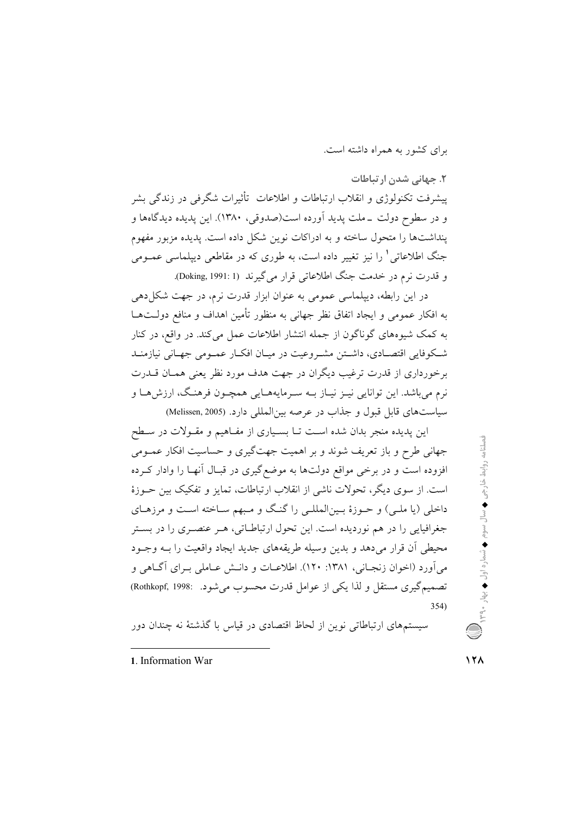برای کشور به همراه داشته است.

۲. جهانی شدن ارتباطات پیشرفت تکنولوژی و انقلاب ارتباطات و اطلاعات تأثیرات شگرفی در زندگی بشر و در سطوح دولت \_ملت پدید اَورده است(صدوقی، ۱۳۸۰). این پدیده دیدگاهها و ینداشتها را متحول ساخته و به ادراکات نوین شکل داده است. یدیده مزبور مفهوم جنگ اطلاعات<sub>ی</sub>' را نیز تغییر داده است، به طوری که در مقاطعی دیپلماسی عمــومی و قدرت نرم در خدمت جنگ اطلاعاتی قرار می گیرند (Doking, 1991: 1).

در این رابطه، دیپلماسی عمومی به عنوان ابزار قدرت نرم، در جهت شکل۵دهی به افکار عمومی و ایجاد اتفاق نظر جهانی به منظور تأمین اهداف و منافع دولـتهـا به کمک شیوههای گوناگون از جمله انتشار اطلاعات عمل می کند. در واقع، در کنار شكوفايي اقتصـادي، داشـتن مشـروعيت در ميـان افكـار عمـومي جهـاني نيازمنـد برخورداري از قدرت ترغيب ديگران در جهت هدف مورد نظر يعني همـان قــدرت نرم مي باشد. اين توانايي نيـز نيـاز بــه سـرمايههــايي همچــون فرهنـگ، ارزش هــا و سياست هاي قابل قبول و جذاب در عرصه بين المللي دارد. (Melissen, 2005)

این پدیده منجر بدان شده است تـا بسـیاری از مفـاهیم و مقـولات در سـطح جهانی طرح و باز تعریف شوند و بر اهمیت جهتگیری و حساسیت افکار عمـومی افزوده است و در برخی مواقع دولتها به موضع گیری در قبـال آنهـا را وادار کـرده است. از سوی دیگر، تحولات ناشی از انقلاب ارتباطات، تمایز و تفکیک بین حــوزهٔ داخلی (یا ملـی) و حـوزهٔ بـین|لمللـی را گنـگ و مـبهم سـاخته اسـت و مرزهـای جغرافیایی را در هم نوردیده است. این تحول ارتباطــاتی، هــر عنصــری را در بســتر محيطي أن قرار مي دهد و بدين وسيله طريقههاي جديد ايجاد واقعيت را بـه وجـود مي آورد (اخوان زنجـاني، ١٣٨١: ١٢٠). اطلاعـات و دانــش عــاملي بــراي آگــاهي و تصميم گيري مستقل و لذا يكي از عوامل قدرت محسوب مي شود. :Rothkopf, 1998  $354)$ 

سیستمهای ارتباطاتی نوین از لحاظ اقتصادی در قیاس با گذشتهٔ نه چندان دور

1. Information War

 $\sqrt{7}$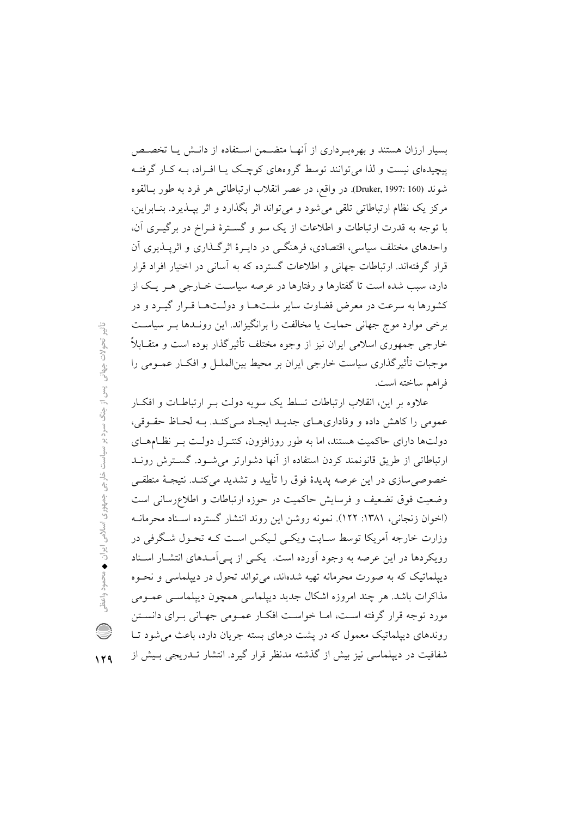بسیار ارزان هستند و بهرهبرداری از آنها متضمن استفاده از دانـش یـا تخصـص پیچیدهای نیست و لذا می توانند توسط گروههای کوچک پـا افـراد، بـه کـار گرفتـه شوند (160 :Druker, 1997). در واقع، در عصر انقلاب ارتباطاتي هر فرد به طور بـالقوه مرکز یک نظام ارتباطاتی تلقی می شود و می تواند اثر بگذارد و اثر بیــذیرد. بنــابراین، با توجه به قدرت ارتباطات و اطلاعات از یک سو و گسترهٔ فـراخ در برگیـری آن، واحدهای مختلف سیاسی، اقتصادی، فرهنگـی در دایـرهٔ اثرگـذاری و اثرپـذیری آن قرار گرفتهاند. ارتباطات جهانی و اطلاعات گسترده که به آسانی در اختیار افراد قرار دارد، سبب شده است تا گفتارها و رفتارها در عرصه سیاست خــارجی هــر یــک از کشورها به سرعت در معرض قضاوت سایر ملـتهـا و دولـتهـا قـرار گیـرد و در برخی موارد موج جهانی حمایت یا مخالفت را برانگیزاند. این رونـدها بـر سیاسـت خارجي جمهوري اسلامي ايران نيز از وجوه مختلف تأثيرگذار بوده است و متقــابلاً ً موجبات تأثیر گذاری سیاست خارجی ایران بر محیط بین|لملــل و افکــار عمــومی را فراهم ساخته است.

علاوه بر این، انقلاب ارتباطات تسلط یک سویه دولت بـر ارتباطـات و افکـار عمومي را كاهش داده و وفاداري هاي جديـد ايجـاد مـي كنـد. بـه لحـاظ حقـوقي، دولتها دارای حاکمیت هستند، اما به طور روزافزون، کنتـرل دولـت بـر نظـامهـای ارتباطاتی از طریق قانونمند کردن استفاده از أنها دشوارتر می شـود. گسـترش رونـد خصوصی سازی در این عرصه پدیدهٔ فوق را تأیید و تشدید میکنـد. نتیجـهٔ منطقـی وضعیت فوق تضعیف و فرسایش حاکمیت در حوزه ارتباطات و اطلاعرسانی است (اخوان زنجانی، ۱۳۸۱: ۱۲۲). نمونه روشن این روند انتشار گسترده اسـناد محرمانـه وزارت خارجه اَمریکا توسط سـایت ویکـی لـیکس اسـت کـه تحـول شـگرفی در رویکردها در این عرصه به وجود آورده است. یکبی از پبی آمیدهای انتشبار اسپناد دیپلماتیک که به صورت محرمانه تهیه شدهاند، می تواند تحول در دیپلماسی و نحـوه مذاکرات باشد. هر چند امروزه اشکال جدید دیپلماسی همچون دیپلماسـی عمــومی مورد توجه قرار گرفته است، امــا خواسـت افكــار عمــومى جهــانى بــراى دانســتن روندهای دیپلماتیک معمول که در پشت درهای بسته جریان دارد، باعث می شود تـا شفافیت در دیپلماسی نیز بیش از گذشته مدنظر قرار گیرد. انتشار تــدریجی بــیش از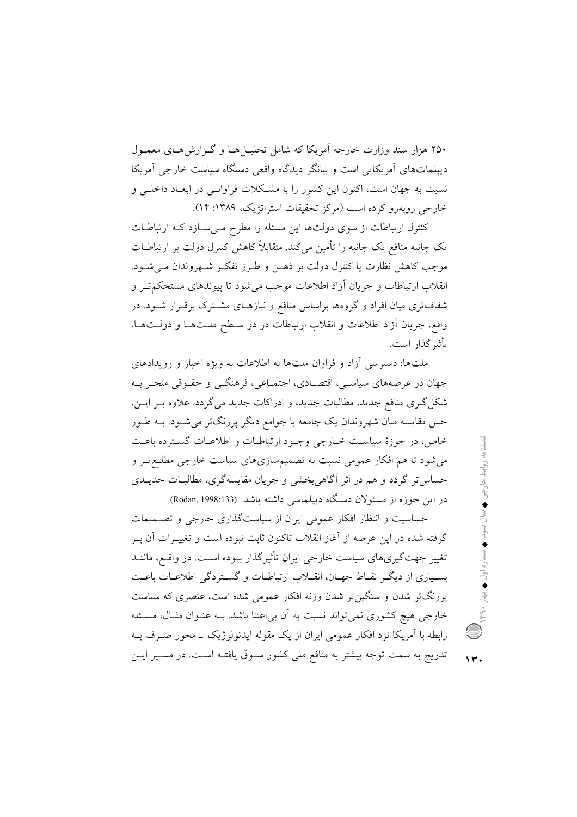۲۵۰ هزار سند وزارت خارجه آمریکا که شامل تحلیـل هـا و گـزارش۵حـای معمـول دیپلماتهای اَمریکایی است و بیانگر دیدگاه واقعی دستگاه سیاست خارجی اَمریکا نسبت به جهان است، اکنون این کشور را با مشکلات فراوانسی در ابعـاد داخلـی و خارجي رويه وو کرده است (مرکز تحقيقات استراتژيک، ١٣٨٩: ١۴).

کنترل ارتباطات از سوی دولتها این مسئله را مطرح می سازد کـه ارتباطـات یک جانبه منافع یک جانبه را تأمین میکند. متقابلاً کاهش کنترل دولت بر ارتباطــات موجب كاهش نظارت يا كنترل دولت بر ذهـن و طـرز تفكـر شـهروندان مـى شـود. انقلاب ارتباطات و جريان آزاد اطلاعات موجب مي شود تا پيوندهاي مستحكم تــر و شفافتری میان افراد و گروهها براساس منافع و نیازهـای مشـترک برقـرار شـود. در واقع، جريان أزاد اطلاعات و انقلاب ارتباطات در دو سطح ملـتهـا و دولـتهـا، تأثير گذار است.

ملتها: دسترسی آزاد و فراوان ملتها به اطلاعات به ویژه اخبار و رویدادهای جهان در عرصههای سیاسی، اقتصـادی، اجتمـاعی، فرهنگــی و حقــوقی منجــر بــه شکل گیری منافع جدید، مطالبات جدید، و ادراکات جدید می گردد. علاوه بـر ایــن، حس مقایسه میان شهروندان یک جامعه با جوامع دیگر پررنگتر می شــود. بــه طــور خاص، در حوزهٔ سیاست خبارجی وجبود ارتباطیات و اطلاعیات گسترده باعث میشود تا هم افکار عمومی نسبت به تصمیمسازیهای سیاست خارجی مطلـع تـر و حساس تر گردد و هم در اثر آگاهی بخشی و جریان مقایسهگری، مطالبـات جدیــدی در این حوزه از مسئولان دستگاه دیپلماسی داشته باشد. (Rodan, 1998:133)

حساسیت و انتظار افکار عمومی ایران از سیاستگذاری خارجی و تصـمیمات گرفته شده در این عرصه از آغاز انقلاب تاکنون ثابت نبوده است و تغییـرات آن بــر تغییر جهت گیریهای سیاست خارجی ایران تأثیر گذار بـوده اسـت. در واقـع، ماننـد بسـیاری از دیگـر نقـاط جهـان، انقـلاب ارتباطـات و گسـتردگی اطلاعـات باعـث پررنگتر شدن و سنگینتر شدن وزنه افکار عمومی شده است، عنصری که سیاست خارجی هیچ کشوری نمیتواند نسبت به آن بی|عتنا باشد. بــه عنــوان مثــال، مســئله رابطه با اَمریکا نزد افکار عمومی ایران از یک مقوله ایدئولوژیک ــ محور صـرف بــه تدریج به سمت توجه بیشتر به منافع ملی کشور سـوق یافتـه اسـت. در مسـیر ایـن

 $\mathbf{v}$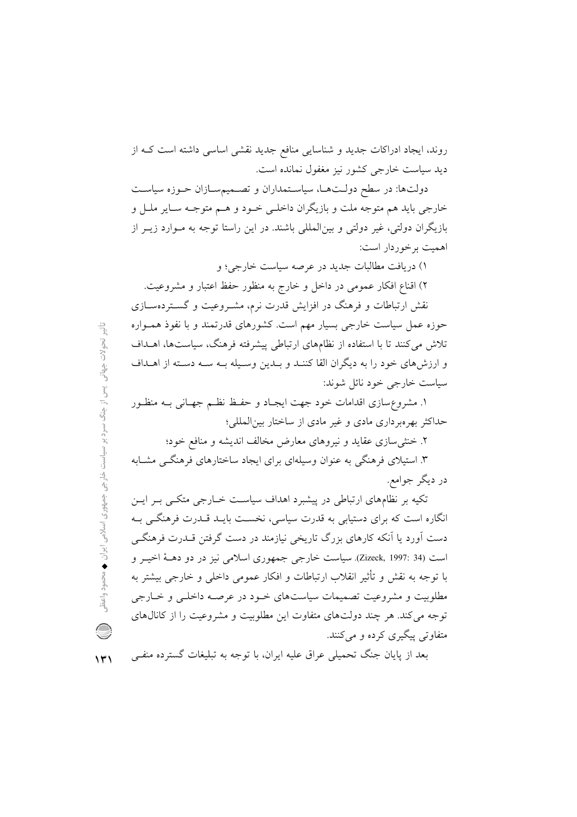روند، ایجاد ادراکات جدید و شناسایی منافع جدید نقشی اساسی داشته است ک از ديد سياست خارجي كشور نيز مغفول نمانده است.

دولتها: در سطح دولـتهـا، سیاسـتمداران و تصـمیمسـازان حـوزه سیاسـت خارجي بايد هم متوجه ملت و بازيگران داخلـي خــود و هــم متوجــه ســاير ملــل و بازیگران دولتی، غیر دولتی و بینالمللی باشند. در این راستا توجه به مـوارد زیــر از اهميت برخوردار است:

۱) دریافت مطالبات جدید در عرصه سیاست خارجی؛ و

۲) اقناع افکار عمومی در داخل و خارج به منظور حفظ اعتبار و مشروعیت.

نقش ارتباطات و فرهنگ در افزایش قدرت نرم، مشـروعیت و گســتردهســازی حوزه عمل سیاست خارجی بسیار مهم است. کشورهای قدرتمند و با نفوذ همـواره تلاش می کنند تا با استفاده از نظامهای ارتباطی پیشرفته فرهنگ، سیاستها، اهـداف و ارزش های خود را به دیگران القا کننـد و بـدین وسـیله بـه سـه دسـته از اهـداف سياست خارجي خود نائل شوند:

۱. مشروع سازی اقدامات خود جهت ایجـاد و حفـظ نظـم جهـانی بـه منظـور حداکثر بهرهبرداری مادی و غیر مادی از ساختار بینالمللی؛

۲. خنثی سازی عقاید و نیروهای معارض مخالف اندیشه و منافع خود؛

۳. استیلای فرهنگی به عنوان وسیلهای برای ایجاد ساختارهای فرهنگــی مشــابه در ديگر جوامع.

تکیه بر نظامهای ارتباطی در پیشبرد اهداف سیاست خــارجی متکــی بــر ایــن انگاره است که برای دستیابی به قدرت سیاسی، نخست بایـد قــدرت فرهنگــی بــه دست آورد یا آنکه کارهای بزرگ تاریخی نیازمند در دست گرفتن قــدرت فرهنگــی است (34 :Zizeck, 1997). سياست خارجي جمهوري اسلامي نيز در دو دهــهٔ اخيــر و با توجه به نقش و تأثیر انقلاب ارتباطات و افکار عمومی داخلی و خارجی بیشتر به مطلوبیت و مشروعیت تصمیمات سیاستهای خـود در عرصـه داخلـی و خـارجی توجه می کند. هر چند دولتهای متفاوت این مطلوبیت و مشروعیت را از کانالهای متفاوتی پیگیری کرده و میکنند.

بعد از پایان جنگ تحمیلی عراق علیه ایران، با توجه به تبلیغات گسترده منفـی  $\Upsilon$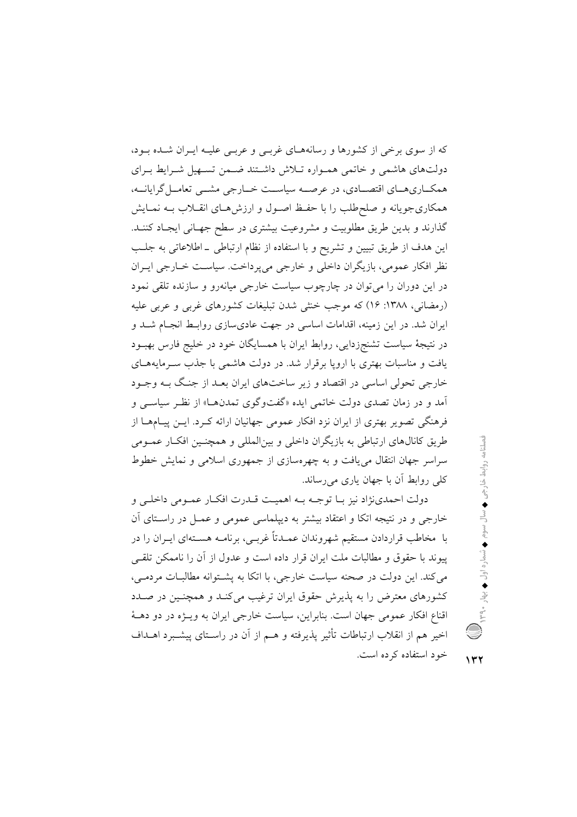که از سوی برخی از کشورها و رسانههـای غربـی و عربـی علیـه ایـران شـده بـود، دولتهای هاشمی و خاتمی همـواره تـلاش داشـتند ضـمن تسـهیل شـرایط بـرای همکــاريهــاي اقتصــادي، در عرصــه سياســت خــارجي مشــي تعامــل گرايانــه، همکاریجویانه و صلحطلب را با حفظ اصـول و ارزش هـای انقــلاب بــه نمــایش گذارند و بدین طریق مطلوبیت و مشروعیت بیشتری در سطح جهـانی ایجـاد کننـد. این هدف از طریق تبیین و تشریح و با استفاده از نظام ارتباطی ـ اطلاعاتی به جلب نظر افکار عمومی، بازیگران داخلی و خارجی میپرداخت. سیاست خـارجی ایـران در این دوران را می توان در چارچوب سیاست خارجی میانهرو و سازنده تلقی نمود (رمضانی، ۱۳۸۸: ۱۶) که موجب خنثی شدن تبلیغات کشورهای غربی و عربی علیه ایران شد. در این زمینه، اقدامات اساسی در جهت عادیسازی روابـط انجـام شــد و در نتیجهٔ سیاست تشنجزدایی، روابط ایران با همسایگان خود در خلیج فارس بهبـود یافت و مناسبات بهتری با اروپا برقرار شد. در دولت هاشمی با جذب سـرمایههـای خارجی تحولی اساسی در اقتصاد و زیر ساختهای ایران بعـد از جنـگ بـه وجـود آمد و در زمان تصدی دولت خاتمی ایده «گفتوگوی تمدنها» از نظر سیاسبی و فرهنگی تصویر بهتری از ایران نزد افکار عمومی جهانیان ارائه کـرد. ایــن پیــامهــا از طريق كانالهاي ارتباطي به بازيگران داخلي و بينالمللي و همچنـين افكـار عمـومي سراسر جهان انتقال می یافت و به چهرهسازی از جمهوری اسلامی و نمایش خطوط کلے ووابط آن با جهان یاری می رساند.

دولت احمدي نژاد نيز بـا توجـه بـه اهميـت قــدرت افكـار عمـومى داخلـى و خارجی و در نتیجه اتکا و اعتقاد بیشتر به دیپلماسی عمومی و عمـل در راسـتای آن با ً مخاطب قراردادن مستقیم شهروندان عمـدتاً غربـی، برنامـه هسـتهای ایــران را در یبوند با حقوق و مطالبات ملت ایران قرار داده است و عدول از آن را ناممکن تلقبی می کند. این دولت در صحنه سیاست خارجی، با اتکا به پشتوانه مطالبات مردمی، کشورهای معترض را به پذیرش حقوق ایران ترغیب می کنـد و همچنـین در صـدد اقناع افکار عمومی جهان است. بنابراین، سیاست خارجی ایران به ویــژه در دو دهــهٔ اخیر هم از انقلاب ارتباطات تأثیر پذیرفته و هــم از آن در راسـتای پیشــبرد اهــداف خود استفاده کرده است.

 $\gamma$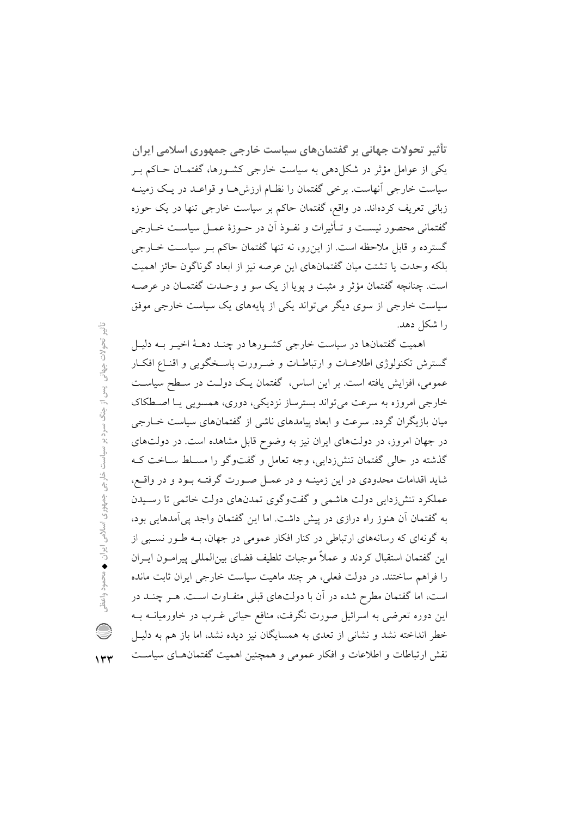تأثیر تحولات جهانی بر گفتمانهای سیاست خارجی جمهوری اسلامی ایران یکی از عوامل مؤثر در شکل(دهی به سیاست خارجی کشـورها، گفتمـان حـاکم بـر سیاست خارجی أنهاست. برخی گفتمان را نظـام ارزش۵حا و قواعـد در یـک زمینـه زبانی تعریف کردهاند. در واقع، گفتمان حاکم بر سیاست خارجی تنها در یک حوزه گفتمانی محصور نیست و تـأثیرات و نفـوذ آن در حـوزهٔ عمـل سیاسـت خــارجی گسترده و قابل ملاحظه است. از اینرو، نه تنها گفتمان حاکم بـر سیاسـت خــارجى بلکه وحدت یا تشتت میان گفتمانهای این عرصه نیز از ابعاد گوناگون حائز اهمیت است. چنانچه گفتمان مؤثر و مثبت و یوپا از یک سو و وحـدت گفتمــان در عرصــه سیاست خارجی از سوی دیگر می تواند یکی از پایههای یک سیاست خارجی موفق را شکل دهد.

اهمیت گفتمانها در سیاست خارجی کشورها در چنـد دهـهٔ اخیـر بـه دلیـل گسترش تکنولوژی اطلاعـات و ارتباطـات و ضـرورت پاسـخگویی و اقنـاع افکـار عمومی، افزایش یافته است. بر این اساس، گفتمان یک دولت در سطح سیاست خارجي امروزه به سرعت مي تواند بسترساز نزديكي، دوري، همسويي يـا اصـطكاك میان بازیگران گردد. سرعت و ابعاد پیامدهای ناشی از گفتمانهای سیاست خــارجی در جهان امروز، در دولتهای ایران نیز به وضوح قابل مشاهده است. در دولتهای گذشته در حالی گفتمان تنش(دایی، وجه تعامل و گفتوگو را مسـلط سـاخت کـه شاید اقدامات محدودی در این زمینــه و در عمــل صــورت گرفتــه بــود و در واقــع، عملکرد تنش(دایی دولت هاشمی و گفتوگوی تمدنهای دولت خاتمی تا رسیدن به گفتمان آن هنوز راه درازی در پیش داشت. اما این گفتمان واجد پی آمدهایی بود، به گونهای که رسانههای ارتباطی در کنار افکار عمومی در جهان، بـه طـور نسـبی از این گفتمان استقبال کردند و عملاً موجبات تلطیف فضای بینالمللی پیرامـون ایــران را فراهم ساختند. در دولت فعلی، هر چند ماهیت سیاست خارجی ایران ثابت مانده است، اما گفتمان مطرح شده در آن با دولتهای قبلی متفـاوت اسـت. هـر چنــد در این دوره تعرضی به اسرائیل صورت نگرفت، منافع حیاتی غــرب در خاورمیانــه بــه خطر انداخته نشد و نشانی از تعدی به همسایگان نیز دیده نشد، اما باز هم به دلیـل نقش ارتباطات و اطلاعات و افکار عمومی و همچنین اهمیت گفتمانهـای سیاسـت

تأثير تحولات جهانی پس از جنگ سرد بر سیاست خارجی جمهوری اسلامی ایران محمود واعظر C  $\gamma$ ۳۳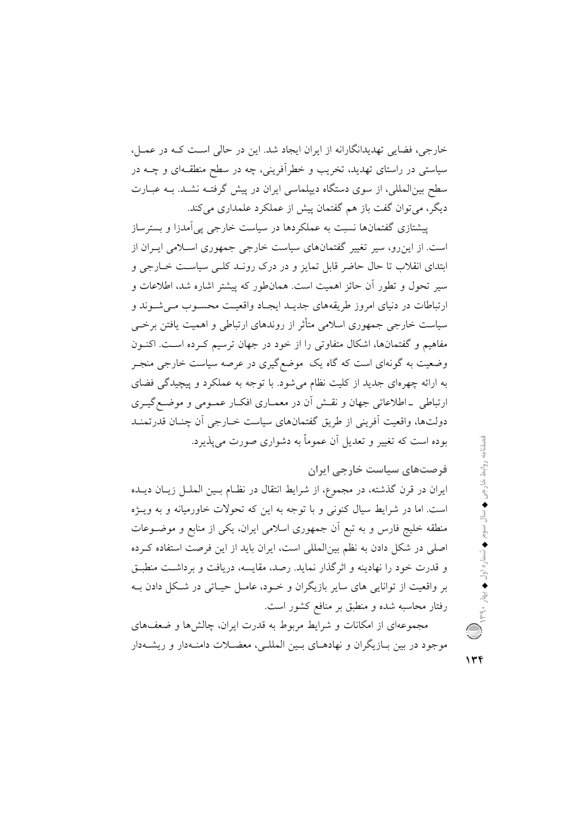خارجی، فضایی تهدیدانگارانه از ایران ایجاد شد. این در حالی است کـه در عمـل، سیاستی در راستای تهدید، تخریب و خطرآفرینی، چه در سطح منطقـهای و چــه در سطح بینالمللی، از سوی دستگاه دیپلماسی ایران در پیش گرفتـه نشـد. بـه عبــارت دیگر، می توان گفت باز هم گفتمان پیش از عملکرد علمداری می کند.

پیشتازی گفتمانها نسبت به عملکردها در سیاست خارجی پی آمدزا و بسترساز است. از این رو، سیر تغییر گفتمانهای سیاست خارجی جمهوری اسلامی ایـران از ابتدای انقلاب تا حال حاضر قابل تمایز و در درک رونـد کلـی سیاسـت خـارجی و سیر تحول و تطور آن حائز اهمیت است. همانطور که پیشتر اشاره شد، اطلاعات و ارتباطات در دنیای امروز طریقههای جدیـد ایجـاد واقعیـت محسـوب مـی شـوند و سیاست خارجی جمهوری اسلامی متأثر از روندهای ارتباطی و اهمیت یافتن برخــی مفاهیم و گفتمانها، اشکال متفاوتی را از خود در جهان ترسیم کـرده اسـت. اکنـون وضعیت به گونهای است که گاه یک موضع گیری در عرصه سیاست خارجی منجـر به ارائه چهرهای جدید از کلیت نظام میشود. با توجه به عملکرد و پیچیدگی فضای ارتباطي \_اطلاعاتي جهان و نقــش أن در معمــاري افكــار عمــومي و موضــع گيــري دولتها، واقعيت أفريني از طريق گفتمانهاي سياست خــارجي أن چنــان قدرتمنــد بوده است که تغییر و تعدیل آن عموماً به دشواری صورت می پذیرد.

فرصتهای سیاست خارجی ایران ایران در قرن گذشته، در مجموع، از شرایط انتقال در نظـام بـین الملـل زیـان دیـلـه است. اما در شرایط سیال کنونی و با توجه به این که تحولات خاورمیانه و به ویـژه منطقه خلیج فارس و به تبع اَن جمهوری اسلامی ایران، یکی از منابع و موضـوعات اصلی در شکل دادن به نظم بینالمللی است، ایران باید از این فرصت استفاده کـرده و قدرت خود را نهادینه و اثر گذار نماید. رصد، مقایسه، دریافت و برداشت منطبـق بر واقعیت از توانایی های سایر بازیگران و خـود، عامـل حیـاتی در شـكل دادن بـه رفتار محاسبه شده و منطبق بر منافع کشور است.

مجموعهای از امکانات و شرایط مربوط به قدرت ایران، چالشها و ضعفهای موجود در بین بـازیگران و نهادهـای بـین المللـی، معضـلات دامنـهدار و ریشــهدار

 $\gamma$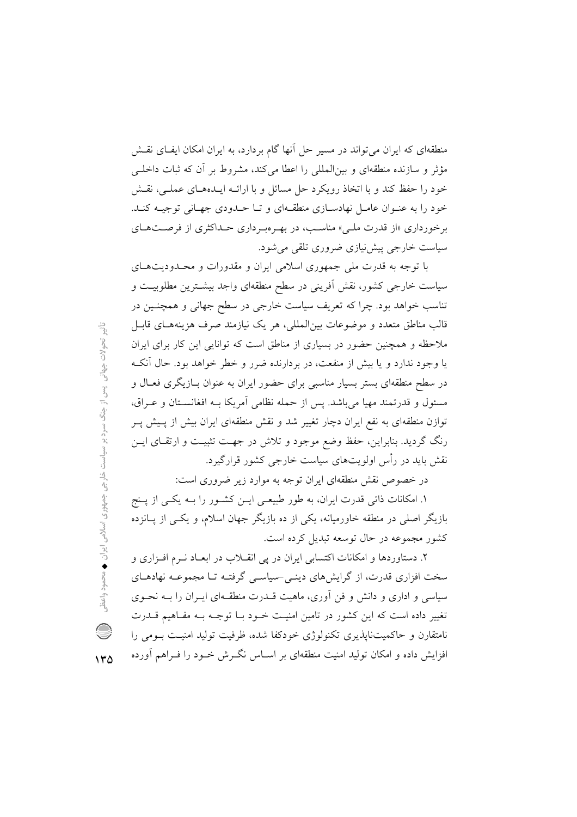منطقهای که ایران میتواند در مسیر حل آنها گام بردارد، به ایران امکان ایفای نقش مؤثر و سازنده منطقهای و بینالمللی را اعطا میکند، مشروط بر آن که ثبات داخلبی خود را حفظ کند و با اتخاذ رویکرد حل مسائل و با ارائـه ایـدهمـای عملـی، نقـش خود را به عنـوان عامـل نهادسـازي منطقـهاي و تـا حـدودي جهـاني توجيـه كنـد. برخورداری «از قدرت ملبی» مناسب، در بهـروبر داری حـداکثری از فرصـتهـای سیاست خارجی پیش نیازی ضروری تلقی می شود.

با توجه به قدرت ملي جمهوري اسلامي ايران و مقدورات و محـدوديتهـاي سیاست خارجی کشور، نقش آفرینی در سطح منطقهای واجد بیشترین مطلوبیت و تناسب خواهد بود. چرا که تعریف سیاست خارجی در سطح جهانی و همچنـین در قالب مناطق متعدد و موضوعات بین|لمللی، هر یک نیازمند صرف هزینههـای قابـل ملاحظه و همچنین حضور در بسیاری از مناطق است که توانایی این کار برای ایران یا وجود ندارد و یا بیش از منفعت، در بردارنده ضرر و خطر خواهد بود. حال آنکـه در سطح منطقهای بستر بسیار مناسبی برای حضور ایران به عنوان بـازیگری فعـال و مسئول و قدرتمند مهیا میباشد. پس از حمله نظامی آمریکا بـه افغانســتان و عــراق، توازن منطقهای به نفع ایران دچار تغییر شد و نقش منطقهای ایران بیش از پـیش پـر رنگ گردید. بنابراین، حفظ وضع موجود و تلاش در جهت تثبیت و ارتقای ایــن نقش باید در رأس اولویتهای سیاست خارجی کشور قرارگیرد.

در خصوص نقش منطقهای ایران توجه به موارد زیر ضروری است:

۱. امکانات ذاتی قدرت ایران، به طور طبیعـی ایــن کشــور را بــه یکــی از پــنج بازیگر اصلی در منطقه خاورمیانه، یکی از ده بازیگر جهان اسلام، و یکسی از پـانزده كشور مجموعه در حال توسعه تبديل كرده است.

۲. دستاوردها و امکانات اکتسابی ایران در یی انقــلاب در ابعــاد نــرم افــزاری و سخت افزاری قدرت، از گرایشهای دینـی-سیاسـی گرفتـه تـا مجموعـه نهادهـای سیاسی و اداری و دانش و فن آوری، ماهیت قــدرت منطقــهای ایــران را بــه نحــوی تغییر داده است که این کشور در تامین امنیـت خـود بـا توجـه بـه مفـاهیم قــدرت نامتقارن و حاکمیتنایذیری تکنولوژی خودکفا شده، ظرفیت تولید امنیـت بـومی را افزایش داده و امکان تولید امنیت منطقهای بر اسـاس نگــرش خــود را فــراهم آورده

 $\frac{c_1^{\text{L}}}{c_1^{\text{L}}}$ تحولات جهانی ٍ پس از جنگ سرد بر سیاست خارجی جمهوری اسلامی ایران ♦ محمود واعظ C

 $Y^{\alpha}$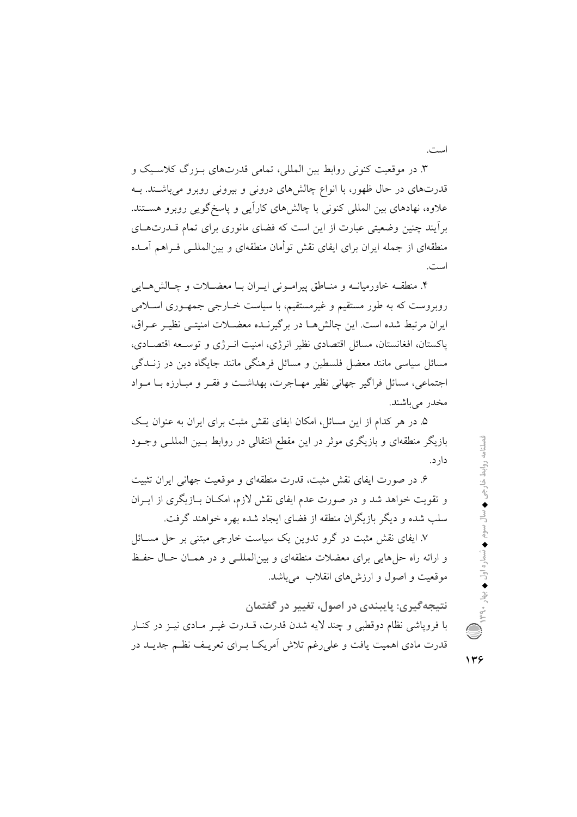است.

۳. در موقعیت کنونی روابط بین المللی، تمامی قدرتهای بـزرگ کلاسـیک و قدرتهای در حال ظهور، با انواع چالشهای درونی و بیرونی روبرو میباشـند. بــه علاوه، نهادهای بین المللی کنونی با چالش های کاراًیی و پاسخ گویی روبرو هستند. برأیند چنین وضعیتی عبارت از این است که فضای مانوری برای تمام قــدرتهــای منطقهای از جمله ایران برای ایفای نقش توأمان منطقهای و بینالمللـی فــراهـم آمــده است.

۴. منطقـه خاورمیانــه و منــاطق پیرامــونی ایــران بــا معضــلات و چــالش۵هــایی روبروست که به طور مستقیم و غیرمستقیم، با سیاست خــارجی جمهـوری اســلامی ابران مرتبط شده است. این چالش هـا در برگیرنـده معضــلات امنیتــی نظیـر عـراق، یاکستان، افغانستان، مسائل اقتصادی نظیر انرژی، امنیت انـرژی و توسـعه اقتصـادی، مسائل سیاسی مانند معضل فلسطین و مسائل فرهنگی مانند جایگاه دین در زنــدگی اجتماعي، مسائل فراگير جهاني نظير مهـاجرت، بهداشـت و فقـر و مبـارزه بــا مــواد مخدر مي باشند.

۵. در هر کدام از این مسائل، امکان ایفای نقش مثبت برای ایران به عنوان یک بازیگر منطقهای و بازیگری موثر در این مقطع انتقالی در روابط بسین المللـی وجـود دارد.

۶. در صورت ایفای نقش مثبت، قدرت منطقهای و موقعیت جهانی ایران تثبیت و تقویت خواهد شد و در صورت عدم ایفای نقش لازم، امکـان بــازیگری از ایــران سلب شده و دیگر بازیگران منطقه از فضای ایجاد شده بهره خواهند گرفت.

۷. ایفای نقش مثبت در گرو تدوین یک سیاست خارجی مبتنی بر حل مســائل و ارائه راه حل هایی برای معضلات منطقهای و بین المللے و در همیان حیال حفیظ موقعیت و اصول و ارزش های انقلاب میباشد.

نتيجه گيري: پايبندي در اصول، تغيير در گفتمان با فروياشي نظام دوقطبي و چند لايه شدن قدرت، قــدرت غيــر مــادي نيــز در كنــار قدرت مادی اهمیت یافت و علی رغم تلاش اَمریکــا بــرای تعریــف نظــم جدیــد در

138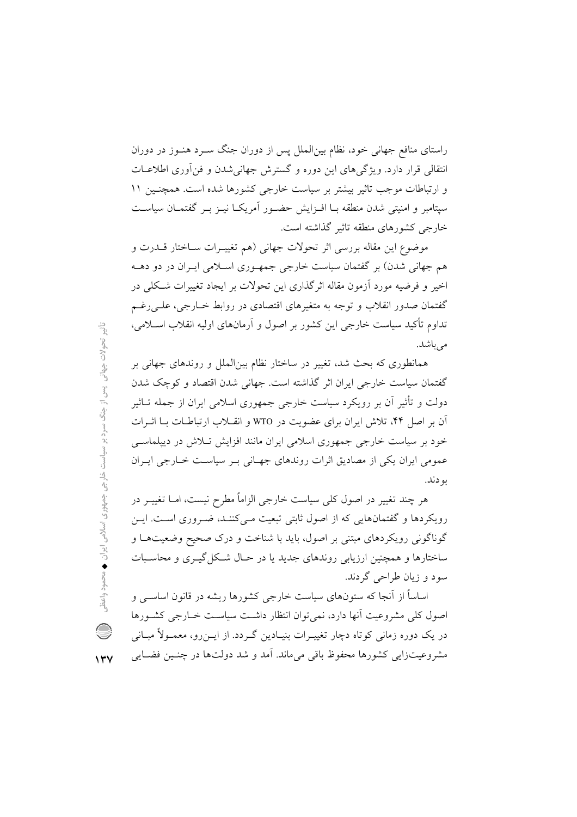راستای منافع جهانی خود، نظام بین|لملل پس از دوران جنگ سـرد هنـوز در دوران انتقالی قرار دارد. ویژگی های این دوره و گسترش جهانی شدن و فن آوری اطلاعــات و ارتباطات موجب تاثیر بیشتر بر سیاست خارجی کشورها شده است. همچنـین ۱۱ سپتامبر و امنیتی شدن منطقه سا افیزایش حضیور آمریکیا نیبز سر گفتمیان سیاست خارجی کشورهای منطقه تاثیر گذاشته است.

موضوع اين مقاله بررسي اثر تحولات جهاني (هم تغييـرات سـاختار قــدرت و هم جهانی شدن) بر گفتمان سیاست خارجی جمهـوری اسـلامی ایـران در دو دهــه اخیر و فرضیه مورد آزمون مقاله اثرگذاری این تحولات بر ایجاد تغییرات شکلی در گفتمان صدور انقلاب و توجه به متغیرهای اقتصادی در روابط خــارجی، علــی رغــم تداوم تأکید سیاست خارجی این کشور بر اصول و آرمانهای اولیه انقلاب اسـلامی، می باشد.

همانطوری که بحث شد، تغییر در ساختار نظام بینالملل و روندهای جهانی بر گفتمان سیاست خارجی ایران اثر گذاشته است. جهانی شدن اقتصاد و کوچک شدن دولت و تأثیر آن بر رویکرد سیاست خارجی جمهوری اسلامی ایران از جمله تــاثیر آن بر اصل ۴۴، تلاش ایران برای عضویت در WTO و انقبلاب ارتباطیات بیا اثیرات خود بر سیاست خارجی جمهوری اسلامی ایران مانند افزایش تبلاش در دیپلماسبی عمومی ایران یکی از مصادیق اثرات روندهای جهـانی بـر سیاسـت خـارجی ایـران بو دند.

هر چند تغییر در اصول کلی سیاست خارجی الزاماً مطرح نیست، امــا تغییــر در رویکردها و گفتمانهایی که از اصول ثابتی تبعیت می کننـد، ضـروری اسـت. ایـن گوناگونی رویکردهای مبتنی بر اصول، باید با شناخت و درک صحیح وضعیتهـا و ساختارها و همچنین ارزیابی روندهای جدید یا در حیال شبکل گیبری و محاسبات سود و زيان طراحي گردند.

اساساً از آنجا که ستونهای سیاست خارجی کشورها ریشه در قانون اساســی و اصول کلی مشروعیت آنها دارد، نمی توان انتظار داشت سیاست خــارجی کشــورها در یک دوره زمانی کوتاه دچار تغییـرات بنیـادین گـردد. از ایــن٫رو، معمــولأ مبــانی مشروعيتزايي كشورها محفوظ باقى مىماند. آمد و شد دولتها در چنـين فضـايي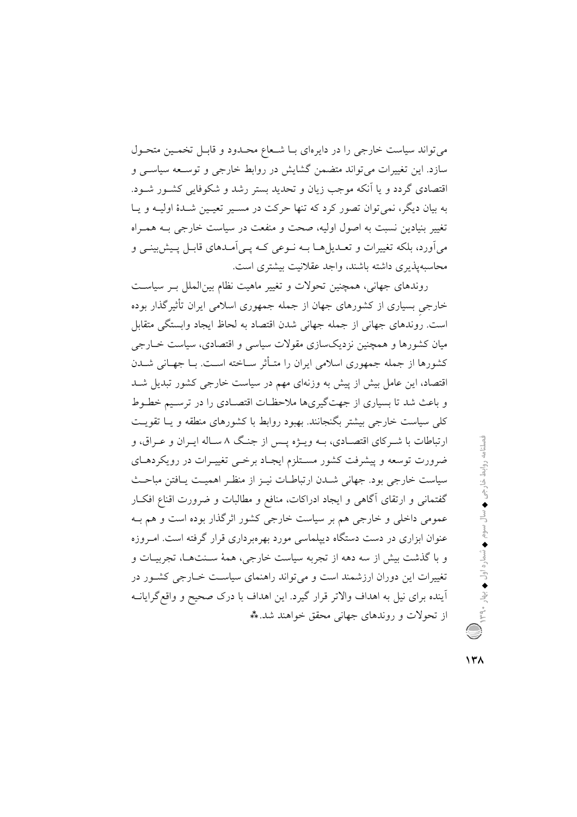می تواند سیاست خارجی را در دایرهای بـا شـعاع محـدود و قابـل تخمـین متحـول سازد. این تغییرات می تواند متضمن گشایش در روابط خارجی و توسـعه سیاسـی و اقتصادی گردد و یا اَنکه موجب زیان و تحدید بستر رشد و شکوفایی کشـور شـود. په بيان ديگر، نمي توان تصور كړد كه تنها جركت در مسير تعيين شيدۀ اوليـه و پيا تغییر بنیادین نسبت به اصول اولیه، صحت و منفعت در سیاست خارجی بـه همـراه میآورد، بلکه تغییرات و تعــدیلِهــا بــه نــوعی کــه پــیآمــدهای قابــل پــیش;بینــی و محاسبه پذیری داشته باشند، واجد عقلانیت بیشتری است.

روندهای جهانی، همچنین تحولات و تغییر ماهیت نظام بینالملل بـر سیاسـت خارجی بسیاری از کشورهای جهان از جمله جمهوری اسلامی ایران تأثیرگذار بوده است. روندهای جهانی از جمله جهانی شدن اقتصاد به لحاظ ایجاد وابستگی متقابل میان کشورها و همچنین نزدیکسازی مقولات سیاسی و اقتصادی، سیاست خــارجی كشورها از جمله جمهوري اسلامي ايران را متــأثر ســاخته اســت. بــا جهــاني شــدن اقتصاد، این عامل بیش از پیش به وزنهای مهم در سیاست خارجی کشور تبدیل شـد و باعث شد تا بسیاری از جهتگیریها ملاحظـات اقتصـادی را در ترسـیم خطـوط کلی سیاست خارجی بیشتر بگنجانند. بهبود روابط با کشورهای منطقه و پــا تقویــت ارتباطات با شـرکای اقتصـادی، بــه ویــژه پــس از جنـگ ۸ ســاله ایــران و عــراق، و ضرورت توسعه و پیشرفت کشور مسـتلزم ایجـاد برخــی تغییــرات در رویکردهــای سیاست خارجی بود. جهانی شدن ارتباطـات نیـز از منظـر اهمیـت پـافتن مباحـث گفتمانی و ارتقای آگاهی و ایجاد ادراکات، منافع و مطالبات و ضرورت اقناع افک ر عمومی داخلی و خارجی هم بر سیاست خارجی کشور اثرگذار بوده است و هم بـه عنوان ابزاری در دست دستگاه دیپلماسی مورد بهرهبرداری قرار گرفته است. امـروزه و با گذشت بیش از سه دهه از تجربه سیاست خارجی، همهٔ سـنتهـا، تجربیـات و تغییرات این دوران ارزشمند است و میتواند راهنمای سیاست خـارجی کشـور در آینده برای نیل به اهداف والاتر قرار گیرد. این اهداف با درک صحیح و واقع گرایانــه از تحولات و روندهای جهانی محقق خواهند شد. \*\*

 $\lambda + \lambda$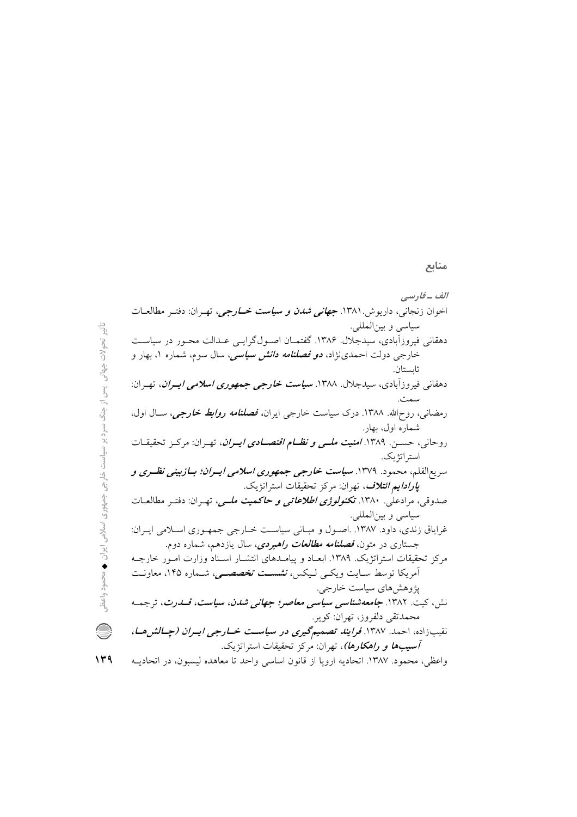## الف -فارسي اخوان زنجانی، داریوش ۱۳۸۱. *جهانی شدن و سیاست خــارجی*، تهـران: دفتـر مطالعـات سياسي و بين|لمللي. دهقانی فیروزآبادی، سیدجلال. ۱۳۸۶. گفتمـان اصـولگرایـبی عـدالت محـور در سیاسـت خارجی دولت احمدیiژاد، *دو فصلنامه دانش سیاسی*، سال سوم، شماره ۱، بهار و تاسىتان. دهقانی فیروزآبادی، سیدجلال. ۱۳۸۸. **سی***است خارجی جمهوری اسلامی ایــران***،** تهــران: سمت. رمضانی، روحالله. ۱۳۸۸. درک سیاست خارجی ایران*، فصلنامه روابط خارجی،* سـال اول، شماره اول، بهار. روحانی، حسـن. ۱۳۸۹. *امنیت ملـی و نظـام اقتصـادی ایـران*، تهـران: مرکـز تحقیقـات استر اتژیک. سریعالقلم، محمود. ۱۳۷۹. **سی***است خارجی جمهوری اسلامی ایسران؛ بسازبینی نظسری و پارادایم ائتلاف*، تهران: مرکز تحقیقات استراتژیک. صدوقی، مرادعلّی. ۱۳۸۰. ت**کن***ولوژی اطلاعاتی و حاک***می***ت ملــی***،** تهـران: دفتـر مطالعــات سياسي و بين المللي. غرایاق زندی، داود. ۱۳۸۷. .اصـول و مبـانی سیاسـت خـارجی جمهـوری اسـلامی ایـران: جستاری در متون، *فصلنامه مطالعات راهبردی*، سال یازدهم، شماره دوم. مرکز تحقیقات استراتژیک. ۱۳۸۹. ابعـاد و پیامـدهای انتشـار اسـناد وزارت امـور خارجـه آمريكا توسط سـايت ويكـي لـيكس، **نشسـت تخصصـي**، شـماره ١۴۵، معاونـت پژوهشهای سیاست خارجی. نش، کیت. ۱۳۸۲. ج*امعه شناسی سیاسی معاصر؛ جهانی شدن، سیاست، قسدرت*، ترجمه محمدتقى دلفروز، تهران: كوير. نقیبزاده، احمد. ۱۳۸۷. *فرایند تصمیمگیری در سیاست خــارجی ایــران (چــالش هــا*، *آسيبها و راهكارها)*، تهران: مركز تحقيقات استراتژيک. واعظى، محمود. ١٣٨٧. اتحاديه ارويا از قانون اساسى واحد تا معاهده ليسبون، در اتحاديــه

تأثیر تحولات جهانی ٍ پس از جنگ سرد بر سیاست خارجی جمهوری اسلامی ایران ♦ محمود واعظ

O

 $149$ 

منابع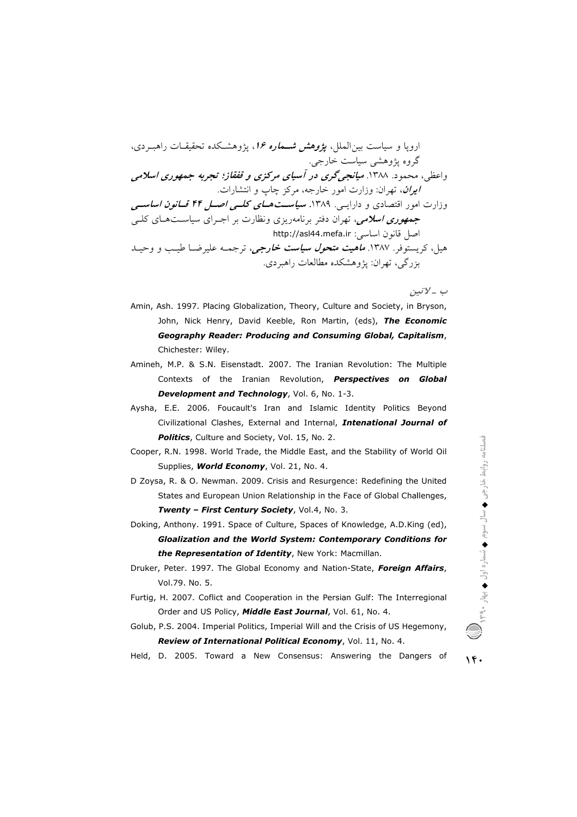اروپا و سیاست بین|لملل، *پژوهش شــماره ۱۶*، پژوهشـکده تحقیقــات راهبــردی، گروه پژوهشی سیاست خارجی. واعظی، محمود. ۱۳۸۸. می**انجر گری در آسیای مرکزی و قفقاز؛ تجربه جمهوری اسلامی** ايران، تهران: وزارت امور خارجه، مركز چاپ و انتشارات. وزارت امور اقتصادی و دارایسی. ۱۳۸۹. **سی***است هـای کلــی اصــل ۴۴ قــانون اساســی* جم*هوری اسلامی،* تهران دفتر برنامهریزی ونظارت بر اجـرای سیاسـتهـای کلـی اصل قانون اساسی: http://asl44.mefa.ir هیل، کریستوفر. ۱۳۸۷. *ماهیت متحول سیاست خارجی،* ترجمـه علیرضـا طیـب و وحیــد بزرگی، تھران: پژوهشکده مطالعات راهبردی.

ب \_ لاتين

- Amin, Ash. 1997. Placing Globalization, Theory, Culture and Society, in Bryson, John, Nick Henry, David Keeble, Ron Martin, (eds), The Economic **Geography Reader: Producing and Consuming Global, Capitalism,** Chichester: Wiley.
- Amineh, M.P. & S.N. Eisenstadt. 2007. The Iranian Revolution: The Multiple Contexts of the Iranian Revolution, Perspectives on Global Development and Technology, Vol. 6, No. 1-3.
- Aysha, E.E. 2006. Foucault's Iran and Islamic Identity Politics Beyond Civilizational Clashes, External and Internal, Intenational Journal of Politics, Culture and Society, Vol. 15, No. 2.
- Cooper, R.N. 1998. World Trade, the Middle East, and the Stability of World Oil Supplies, World Economy, Vol. 21, No. 4.
- D Zoysa, R. & O. Newman. 2009. Crisis and Resurgence: Redefining the United States and European Union Relationship in the Face of Global Challenges, Twenty - First Century Society, Vol.4, No. 3.
- Doking, Anthony. 1991. Space of Culture, Spaces of Knowledge, A.D.King (ed), Gloalization and the World System: Contemporary Conditions for the Representation of Identity, New York: Macmillan.
- Druker, Peter. 1997. The Global Economy and Nation-State, Foreign Affairs, Vol.79. No. 5.
- Furtig, H. 2007. Coflict and Cooperation in the Persian Gulf: The Interregional Order and US Policy, Middle East Journal, Vol. 61, No. 4.
- Golub, P.S. 2004. Imperial Politics, Imperial Will and the Crisis of US Hegemony, Review of International Political Economy, Vol. 11, No. 4.
- Held, D. 2005. Toward a New Consensus: Answering the Dangers of

 $\mathcal{N}$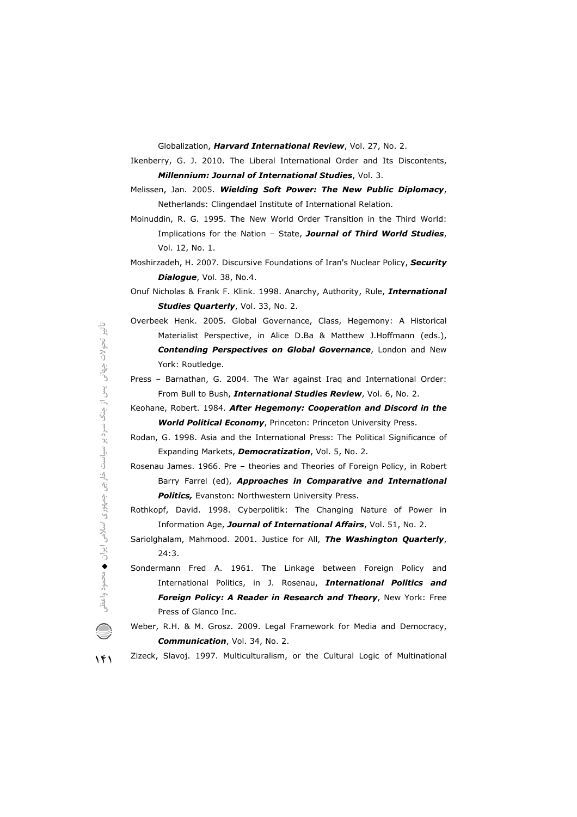Globalization, Harvard International Review, Vol. 27, No. 2.

Ikenberry, G. J. 2010. The Liberal International Order and Its Discontents, Millennium: Journal of International Studies, Vol. 3.

Melissen, Jan. 2005. Wielding Soft Power: The New Public Diplomacy, Netherlands: Clingendael Institute of International Relation.

Moinuddin, R. G. 1995. The New World Order Transition in the Third World: Implications for the Nation - State, Journal of Third World Studies, Vol. 12, No. 1.

Moshirzadeh, H. 2007. Discursive Foundations of Iran's Nuclear Policy, Security Dialogue, Vol. 38, No.4.

Onuf Nicholas & Frank F. Klink. 1998. Anarchy, Authority, Rule, International Studies Quarterly, Vol. 33, No. 2.

Overbeek Henk. 2005. Global Governance, Class, Hegemony: A Historical Materialist Perspective, in Alice D.Ba & Matthew J.Hoffmann (eds.), Contending Perspectives on Global Governance, London and New York: Routledge.

Press - Barnathan, G. 2004. The War against Iraq and International Order: From Bull to Bush, International Studies Review, Vol. 6, No. 2.

Keohane, Robert. 1984. After Hegemony: Cooperation and Discord in the **World Political Economy**, Princeton: Princeton University Press.

Rodan, G. 1998. Asia and the International Press: The Political Significance of Expanding Markets, Democratization, Vol. 5, No. 2.

Rosenau James. 1966. Pre - theories and Theories of Foreign Policy, in Robert Barry Farrel (ed), Approaches in Comparative and International Politics, Evanston: Northwestern University Press.

Rothkopf, David. 1998. Cyberpolitik: The Changing Nature of Power in Information Age, Journal of International Affairs, Vol. 51, No. 2.

Sariolghalam, Mahmood. 2001. Justice for All, The Washington Quarterly,  $24:3.$ 

Sondermann Fred A. 1961. The Linkage between Foreign Policy and International Politics, in J. Rosenau, International Politics and Foreign Policy: A Reader in Research and Theory, New York: Free Press of Glanco Inc.

Weber, R.H. & M. Grosz. 2009. Legal Framework for Media and Democracy, Communication, Vol. 34, No. 2.

Zizeck, Slavoj. 1997. Multiculturalism, or the Cultural Logic of Multinational

 $141$ 

 $\bigcirc$